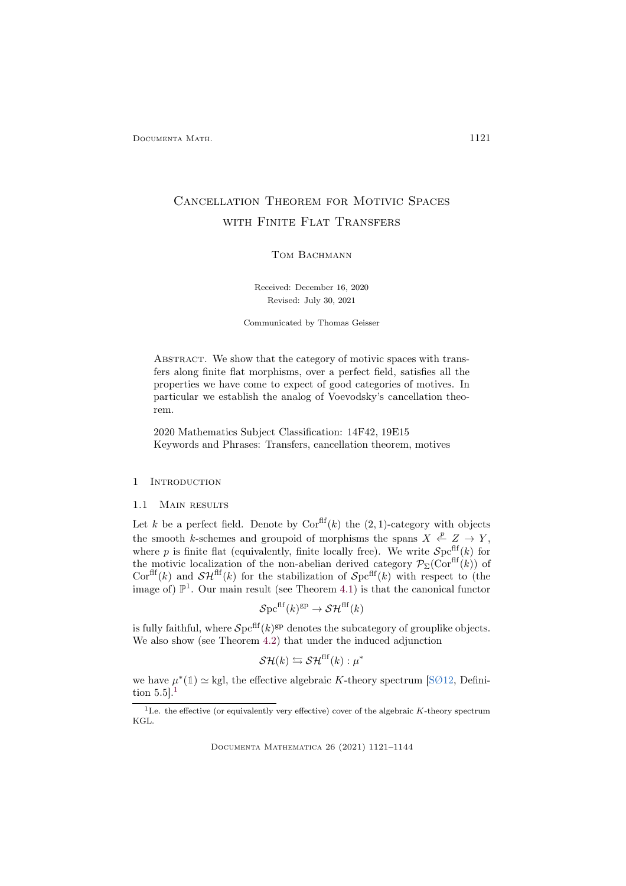# Cancellation Theorem for Motivic Spaces with Finite Flat Transfers

## TOM BACHMANN

Received: December 16, 2020 Revised: July 30, 2021

Communicated by Thomas Geisser

ABSTRACT. We show that the category of motivic spaces with transfers along finite flat morphisms, over a perfect field, satisfies all the properties we have come to expect of good categories of motives. In particular we establish the analog of Voevodsky's cancellation theorem.

2020 Mathematics Subject Classification: 14F42, 19E15 Keywords and Phrases: Transfers, cancellation theorem, motives

## 1 Introduction

## 1.1 MAIN RESULTS

Let k be a perfect field. Denote by  $Cor<sup>ff</sup>(k)$  the  $(2, 1)$ -category with objects the smooth k-schemes and groupoid of morphisms the spans  $X \xleftarrow{p} Z \rightarrow Y$ , where p is finite flat (equivalently, finite locally free). We write  $\mathcal{S}pcfff(k)$  for the motivic localization of the non-abelian derived category  $\mathcal{P}_{\Sigma}(\text{Cor}^{\text{eff}}(k))$  of Corfl<sup>ff</sup>(k) and  $\mathcal{SH}^{\text{eff}}(k)$  for the stabilization of  $\mathcal{S}\text{pc}^{\text{eff}}(k)$  with respect to (the image of)  $\mathbb{P}^1$ . Our main result (see Theorem [4.1\)](#page-18-0) is that the canonical functor

$$
\mathcal{S}\mathrm{pc}^{\mathrm{flf}}(k)^{\mathrm{gp}} \to \mathcal{SH}^{\mathrm{flf}}(k)
$$

is fully faithful, where  $\mathcal{S}$ pc<sup>flf</sup> $(k)$ <sup>gp</sup> denotes the subcategory of grouplike objects. We also show (see Theorem [4.2\)](#page-18-1) that under the induced adjunction

$$
\mathcal{SH}(k) \leftrightarrows \mathcal{SH}^{\mathrm{flf}}(k): \mu^*
$$

we have  $\mu^*(1) \simeq$  kgl, the effective algebraic K-theory spectrum [\[SØ12,](#page-23-0) Definition  $5.5$ ].<sup>[1](#page-0-0)</sup>

<span id="page-0-0"></span><sup>&</sup>lt;sup>1</sup>I.e. the effective (or equivalently very effective) cover of the algebraic  $K$ -theory spectrum KGL.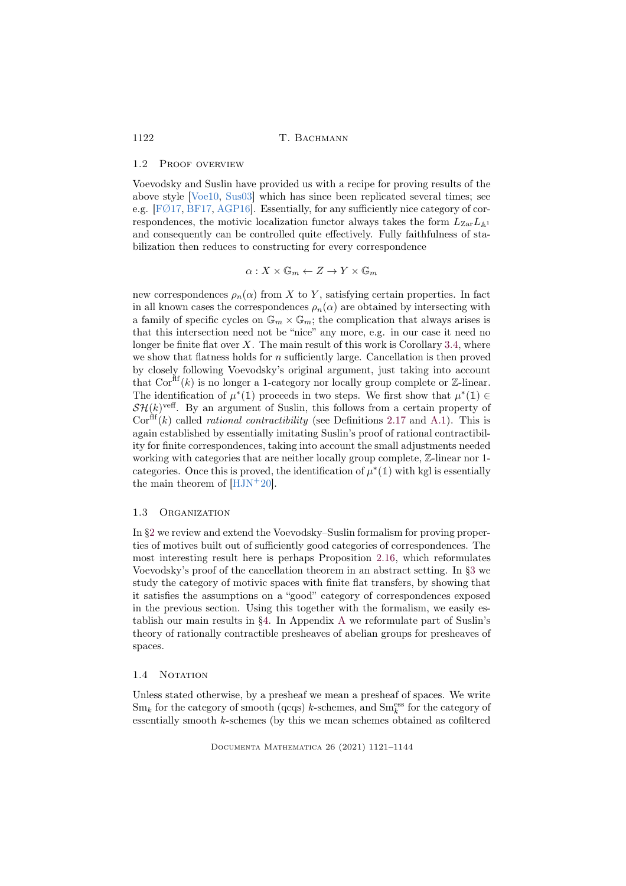#### 1.2 Proof overview

Voevodsky and Suslin have provided us with a recipe for proving results of the above style [\[Voe10,](#page-23-1) [Sus03\]](#page-23-2) which has since been replicated several times; see e.g.  $[FØ17, BFI7, AGP16]$  $[FØ17, BFI7, AGP16]$ . Essentially, for any sufficiently nice category of correspondences, the motivic localization functor always takes the form  $L_{\text{Zar}}L_{\mathbb{A}1}$ and consequently can be controlled quite effectively. Fully faithfulness of stabilization then reduces to constructing for every correspondence

$$
\alpha:X\times\mathbb{G}_m\leftarrow Z\to Y\times\mathbb{G}_m
$$

new correspondences  $\rho_n(\alpha)$  from X to Y, satisfying certain properties. In fact in all known cases the correspondences  $\rho_n(\alpha)$  are obtained by intersecting with a family of specific cycles on  $\mathbb{G}_m \times \mathbb{G}_m$ ; the complication that always arises is that this intersection need not be "nice" any more, e.g. in our case it need no longer be finite flat over  $X$ . The main result of this work is Corollary [3.4,](#page-14-0) where we show that flatness holds for  $n$  sufficiently large. Cancellation is then proved by closely following Voevodsky's original argument, just taking into account that  $Cor<sup>ff</sup>(k)$  is no longer a 1-category nor locally group complete or Z-linear. The identification of  $\mu^*(1)$  proceeds in two steps. We first show that  $\mu^*(1) \in$  $\mathcal{SH}(k)$ <sup>veff</sup>. By an argument of Suslin, this follows from a certain property of  $Cor<sup>fft</sup>(k)$  called *rational contractibility* (see Definitions [2.17](#page-11-0) and [A.1\)](#page-19-0). This is again established by essentially imitating Suslin's proof of rational contractibility for finite correspondences, taking into account the small adjustments needed working with categories that are neither locally group complete, Z-linear nor 1 categories. Once this is proved, the identification of  $\mu^*(1)$  with kgl is essentially the main theorem of  $[HJN+20]$ .

#### 1.3 Organization

In [§2](#page-2-0) we review and extend the Voevodsky–Suslin formalism for proving properties of motives built out of sufficiently good categories of correspondences. The most interesting result here is perhaps Proposition [2.16,](#page-8-0) which reformulates Voevodsky's proof of the cancellation theorem in an abstract setting. In [§3](#page-12-0) we study the category of motivic spaces with finite flat transfers, by showing that it satisfies the assumptions on a "good" category of correspondences exposed in the previous section. Using this together with the formalism, we easily establish our main results in [§4.](#page-18-2) In Appendix [A](#page-19-1) we reformulate part of Suslin's theory of rationally contractible presheaves of abelian groups for presheaves of spaces.

#### <span id="page-1-0"></span>1.4 NOTATION

Unless stated otherwise, by a presheaf we mean a presheaf of spaces. We write  $Sm_k$  for the category of smooth (qcqs) k-schemes, and  $Sm_k^{\text{ess}}$  for the category of essentially smooth k-schemes (by this we mean schemes obtained as cofiltered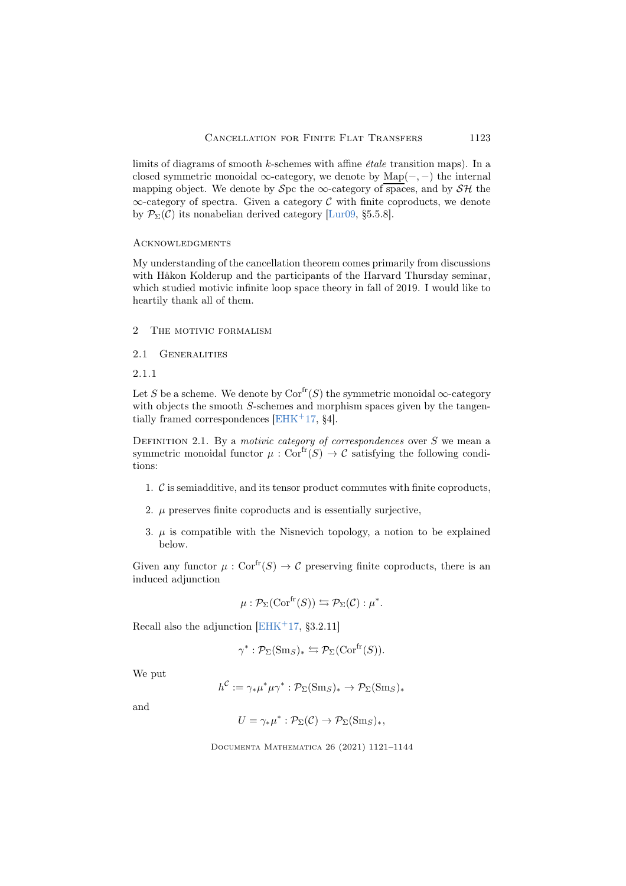limits of diagrams of smooth  $k$ -schemes with affine *étale* transition maps). In a closed symmetric monoidal  $\infty$ -category, we denote by Map(-, -) the internal mapping object. We denote by Spc the  $\infty$ -category of spaces, and by SH the  $\infty$ -category of spectra. Given a category C with finite coproducts, we denote by  $\mathcal{P}_{\Sigma}(\mathcal{C})$  its nonabelian derived category [\[Lur09,](#page-22-2) §5.5.8].

## **ACKNOWLEDGMENTS**

My understanding of the cancellation theorem comes primarily from discussions with Håkon Kolderup and the participants of the Harvard Thursday seminar, which studied motivic infinite loop space theory in fall of 2019. I would like to heartily thank all of them.

- <span id="page-2-0"></span>2 The motivic formalism
- 2.1 GENERALITIES
- 2.1.1

Let S be a scheme. We denote by  $Cor^{fr}(S)$  the symmetric monoidal  $\infty$ -category with objects the smooth S-schemes and morphism spaces given by the tangen-tially framed correspondences [\[EHK](#page-21-2)<sup>+</sup>17,  $\S 4$ ].

<span id="page-2-1"></span>DEFINITION 2.1. By a motivic category of correspondences over  $S$  we mean a symmetric monoidal functor  $\mu : \text{Cor}^{\text{fr}}(S) \to \mathcal{C}$  satisfying the following conditions:

- 1. C is semiadditive, and its tensor product commutes with finite coproducts,
- 2.  $\mu$  preserves finite coproducts and is essentially surjective,
- 3.  $\mu$  is compatible with the Nisnevich topology, a notion to be explained below.

Given any functor  $\mu : \text{Cor}^{\text{fr}}(S) \to \mathcal{C}$  preserving finite coproducts, there is an induced adjunction

$$
\mu: \mathcal{P}_{\Sigma}(\mathrm{Cor}^{\mathrm{fr}}(S)) \leftrightarrows \mathcal{P}_{\Sigma}(\mathcal{C}): \mu^*.
$$

Recall also the adjunction  $[EHK^+17, §3.2.11]$ 

$$
\gamma^* : \mathcal{P}_{\Sigma}(\mathrm{Sm}_S)_* \leftrightarrows \mathcal{P}_{\Sigma}(\mathrm{Cor}^{\mathrm{fr}}(S)).
$$

We put

$$
h^{\mathcal{C}} := \gamma_* \mu^* \mu \gamma^* : \mathcal{P}_{\Sigma}(\mathrm{Sm}_S)_* \to \mathcal{P}_{\Sigma}(\mathrm{Sm}_S)_*
$$

and

$$
U = \gamma_* \mu^* : \mathcal{P}_{\Sigma}(\mathcal{C}) \to \mathcal{P}_{\Sigma}(\mathrm{Sm}_S)_*,
$$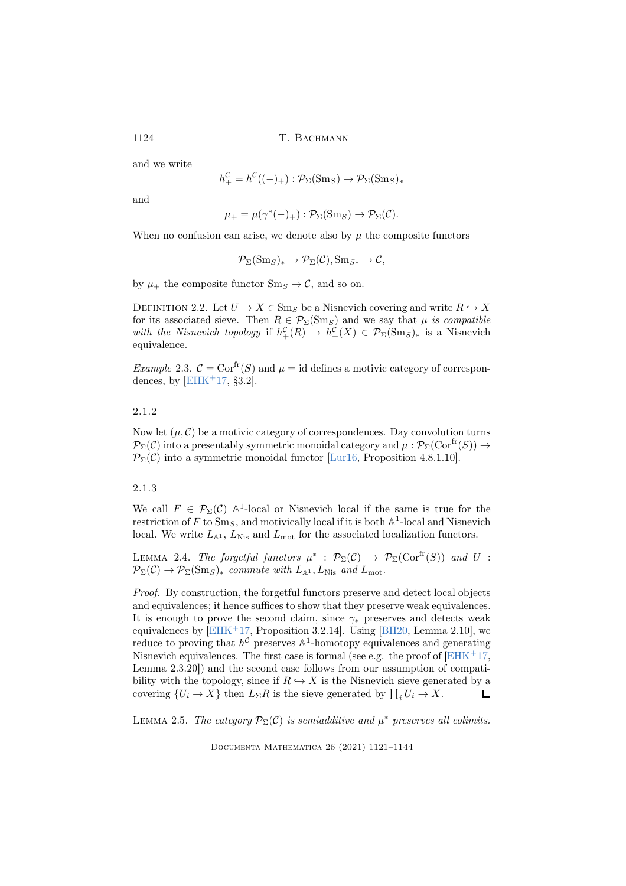and we write

$$
h_+^{\mathcal{C}} = h^{\mathcal{C}}((-)_+) : \mathcal{P}_{\Sigma}(\mathrm{Sm}_S) \to \mathcal{P}_{\Sigma}(\mathrm{Sm}_S)_*
$$

and

$$
\mu_+ = \mu(\gamma^*(-)_+) : \mathcal{P}_\Sigma(\mathrm{Sm}_S) \to \mathcal{P}_\Sigma(\mathcal{C}).
$$

When no confusion can arise, we denote also by  $\mu$  the composite functors

$$
\mathcal{P}_{\Sigma}(\mathrm{Sm}_S)_* \to \mathcal{P}_{\Sigma}(\mathcal{C}), \mathrm{Sm}_{S*} \to \mathcal{C},
$$

by  $\mu_+$  the composite functor  $\text{Sm}_S \to \mathcal{C}$ , and so on.

DEFINITION 2.2. Let  $U \to X \in \text{Sm}_S$  be a Nisnevich covering and write  $R \hookrightarrow X$ for its associated sieve. Then  $R \in \mathcal{P}_{\Sigma}(\text{Sm}_S)$  and we say that  $\mu$  is compatible with the Nisnevich topology if  $h_+^{\mathcal{C}}(R) \to h_+^{\mathcal{C}}(X) \in \mathcal{P}_{\Sigma}(\text{Sm}_S)_{*}$  is a Nisnevich equivalence.

*Example 2.3.*  $\mathcal{C} = \text{Cor}^{\text{fr}}(S)$  and  $\mu = \text{id}$  defines a motivic category of correspondences, by  $[EHK<sup>+</sup>17, §3.2]$ .

## 2.1.2

Now let  $(\mu, \mathcal{C})$  be a motivic category of correspondences. Day convolution turns  $\mathcal{P}_{\Sigma}(\mathcal{C})$  into a presentably symmetric monoidal category and  $\mu : \mathcal{P}_{\Sigma}(\mathrm{Cor}^{\mathrm{fr}}(S)) \to$  $\mathcal{P}_{\Sigma}(\mathcal{C})$  into a symmetric monoidal functor [\[Lur16,](#page-22-3) Proposition 4.8.1.10].

## 2.1.3

We call  $F \in \mathcal{P}_{\Sigma}(\mathcal{C})$  A<sup>1</sup>-local or Nisnevich local if the same is true for the restriction of F to  $Sm_S$ , and motivically local if it is both  $\mathbb{A}^1$ -local and Nisnevich local. We write  $L_{\mathbb{A}^1}$ ,  $L_{\text{Nis}}$  and  $L_{\text{mot}}$  for the associated localization functors.

<span id="page-3-0"></span>LEMMA 2.4. The forgetful functors  $\mu^*$  :  $\mathcal{P}_{\Sigma}(\mathcal{C}) \to \mathcal{P}_{\Sigma}(\mathrm{Cor}^{\mathrm{fr}}(S))$  and U :  $\mathcal{P}_{\Sigma}(\mathcal{C}) \to \mathcal{P}_{\Sigma}(\mathrm{Sm}_S)_{*}$  commute with  $L_{\mathbb{A}^1}, L_{\mathrm{Nis}}$  and  $L_{\mathrm{mot}}$ .

Proof. By construction, the forgetful functors preserve and detect local objects and equivalences; it hence suffices to show that they preserve weak equivalences. It is enough to prove the second claim, since  $\gamma_*$  preserves and detects weak equivalences by  $[EHK^+17,$  Proposition 3.2.14]. Using  $[BH20, \text{Lemma } 2.10]$ , we reduce to proving that  $h^{\mathcal{C}}$  preserves  $\mathbb{A}^{1}$ -homotopy equivalences and generating Nisnevich equivalences. The first case is formal (see e.g. the proof of  $EHK+17$ , Lemma 2.3.20]) and the second case follows from our assumption of compatibility with the topology, since if  $R \hookrightarrow X$  is the Nisnevich sieve generated by a covering  $\{U_i \to X\}$  then  $L_{\Sigma}R$  is the sieve generated by  $\coprod_i U_i \to X$ .  $\Box$ 

<span id="page-3-1"></span>LEMMA 2.5. The category  $\mathcal{P}_{\Sigma}(\mathcal{C})$  is semiadditive and  $\mu^*$  preserves all colimits.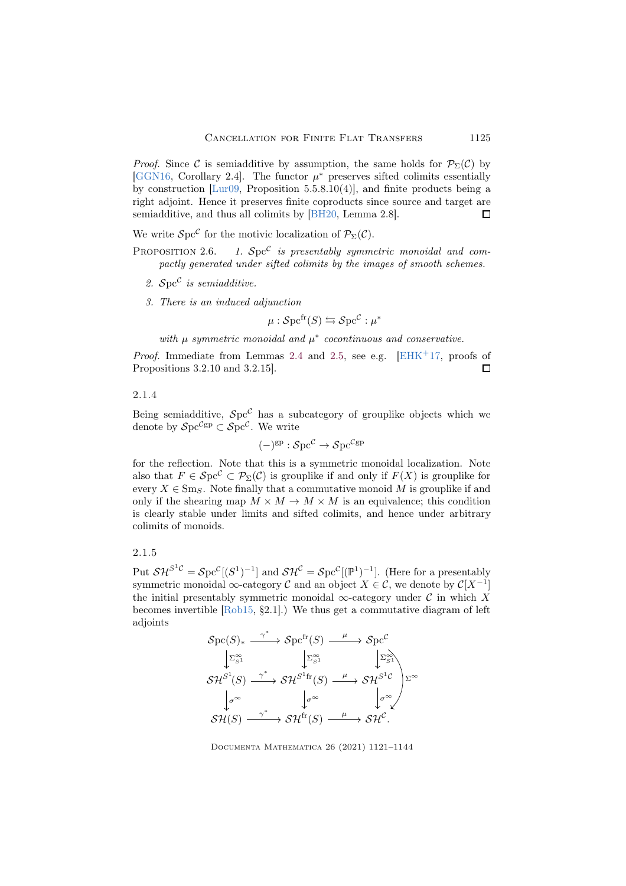*Proof.* Since C is semiadditive by assumption, the same holds for  $\mathcal{P}_{\Sigma}(\mathcal{C})$  by [\[GGN16,](#page-22-4) Corollary 2.4]. The functor  $\mu^*$  preserves sifted colimits essentially by construction [\[Lur09,](#page-22-2) Proposition 5.5.8.10(4)], and finite products being a right adjoint. Hence it preserves finite coproducts since source and target are semiadditive, and thus all colimits by [\[BH20,](#page-21-3) Lemma 2.8].  $\Box$ 

We write  $\mathcal{S}$ pc<sup> $\mathcal{C}$ </sup> for the motivic localization of  $\mathcal{P}_{\Sigma}(\mathcal{C})$ .

- PROPOSITION 2.6. 1.  $Spc^{\mathcal{C}}$  is presentably symmetric monoidal and compactly generated under sifted colimits by the images of smooth schemes.
	- 2.  $Spec^{\mathcal{C}}$  is semiadditive.
	- 3. There is an induced adjunction

$$
\mu : \mathcal{S}\mathrm{pc}^{\mathrm{fr}}(S) \leftrightarrows \mathcal{S}\mathrm{pc}^{\mathcal{C}} : \mu^*
$$

with  $\mu$  symmetric monoidal and  $\mu^*$  cocontinuous and conservative.

*Proof.* Immediate from Lemmas [2.4](#page-3-0) and [2.5,](#page-3-1) see e.g.  $[EHK^+17, \text{ proofs of}]$ Propositions 3.2.10 and 3.2.15].  $\Box$ 

## 2.1.4

Being semiadditive,  $Spc^{\mathcal{C}}$  has a subcategory of grouplike objects which we denote by  $\mathcal{S} \mathrm{pc}^{\mathcal{C} \mathrm{gp}} \subset \mathcal{S} \mathrm{pc}^{\mathcal{C}}$ . We write

$$
(-)^{\rm gp} : {\mathcal Spc}^{\mathcal C} \to {\mathcal Spc}^{\mathcal C \rm gp}
$$

for the reflection. Note that this is a symmetric monoidal localization. Note also that  $F \in Spc^{\mathcal{C}} \subset \mathcal{P}_{\Sigma}(\mathcal{C})$  is grouplike if and only if  $F(X)$  is grouplike for every  $X \in \text{Sm}_S$ . Note finally that a commutative monoid M is grouplike if and only if the shearing map  $M \times M \to M \times M$  is an equivalence; this condition is clearly stable under limits and sifted colimits, and hence under arbitrary colimits of monoids.

## 2.1.5

Put  $\mathcal{SH}^{S^1C} = \mathcal{S}pe^C[(S^1)^{-1}]$  and  $\mathcal{SH}^C = \mathcal{S}pe^C[(\mathbb{P}^1)^{-1}]$ . (Here for a presentably symmetric monoidal  $\infty$ -category  $\mathcal C$  and an object  $X \in \mathcal C$ , we denote by  $\mathcal C[X^{-1}]$ the initial presentably symmetric monoidal  $\infty$ -category under C in which X becomes invertible [\[Rob15,](#page-22-5) §2.1].) We thus get a commutative diagram of left adjoints

$$
\mathcal{S}pc(S)_{*} \xrightarrow{\gamma^{*}} \mathcal{S}pc^{\text{fr}}(S) \xrightarrow{\mu} \mathcal{S}pc^{\mathcal{C}}
$$
  
\n
$$
\downarrow \Sigma_{S1}^{\infty} \qquad \qquad \downarrow \Sigma_{S1}^{\infty} \qquad \qquad \downarrow \Sigma_{S1}^{\infty}
$$
  
\n
$$
\mathcal{SH}^{S^{1}}(S) \xrightarrow{\gamma^{*}} \mathcal{SH}^{S^{1}\text{fr}}(S) \xrightarrow{\mu} \mathcal{SH}^{S^{1}\mathcal{C}} \qquad \qquad \downarrow \sigma^{\infty}
$$
  
\n
$$
\mathcal{SH}(S) \xrightarrow{\gamma^{*}} \mathcal{SH}^{\text{fr}}(S) \xrightarrow{\mu} \mathcal{SH}^{\mathcal{C}}.
$$

Documenta Mathematica 26 (2021) 1121–1144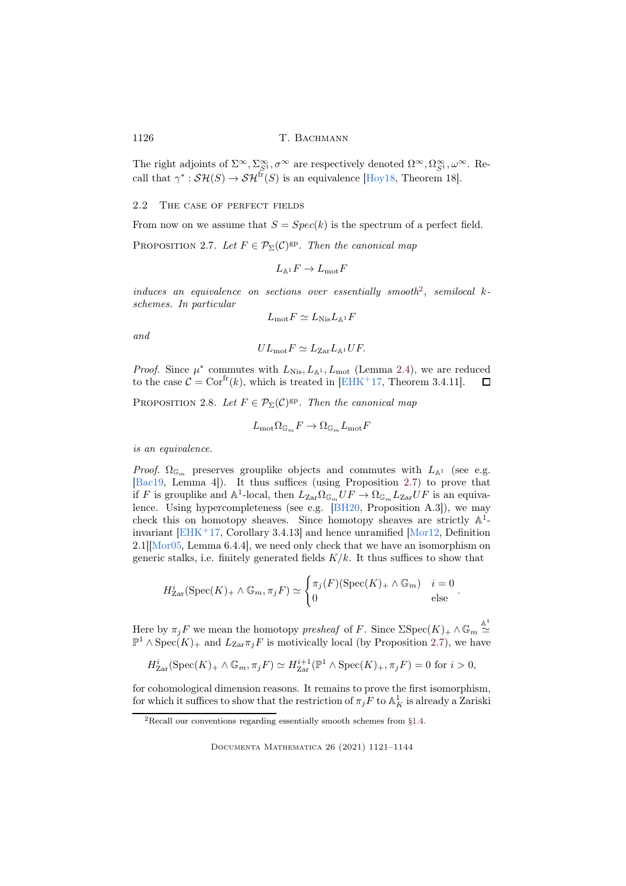The right adjoints of  $\Sigma^{\infty}$ ,  $\Sigma^{\infty}_{S^1}$ ,  $\sigma^{\infty}$  are respectively denoted  $\Omega^{\infty}$ ,  $\Omega^{\infty}_{S^1}$ ,  $\omega^{\infty}$ . Recall that  $\gamma^* : \mathcal{SH}(S) \to \mathcal{SH}^{\text{fr}}(S)$  is an equivalence [\[Hoy18,](#page-22-6) Theorem 18].

2.2 The case of perfect fields

From now on we assume that  $S = Spec(k)$  is the spectrum of a perfect field.

<span id="page-5-1"></span>PROPOSITION 2.7. Let  $F \in \mathcal{P}_{\Sigma}(\mathcal{C})^{\text{gp}}$ . Then the canonical map

$$
L_{{\mathbb A}^1} F \to L_{\rm mot} F
$$

 $induces$  an equivalence on sections over essentially smooth<sup>[2](#page-5-0)</sup>, semilocal  $k$ schemes. In particular

$$
L_{\rm mot}F \simeq L_{\rm Nis}L_{\mathbb{A}^1}F
$$

and

$$
UL_{\text{mot}}F \simeq L_{\text{Zar}}L_{\mathbb{A}^1}UF.
$$

*Proof.* Since  $\mu^*$  commutes with  $L_{\text{Nis}}$ ,  $L_{\mathbb{A}^1}$ ,  $L_{\text{mot}}$  (Lemma [2.4\)](#page-3-0), we are reduced to the case  $C = \text{Cor}^{\text{fr}}(k)$ , which is treated in [\[EHK](#page-21-2)<sup>+</sup>17, Theorem 3.4.11].  $\Box$ 

<span id="page-5-2"></span>PROPOSITION 2.8. Let  $F \in \mathcal{P}_{\Sigma}(\mathcal{C})^{\text{gp}}$ . Then the canonical map

$$
L_{\rm mot} \Omega_{\mathbb G_m} F \to \Omega_{\mathbb G_m} L_{\rm mot} F
$$

is an equivalence.

*Proof.*  $\Omega_{\mathbb{G}_m}$  preserves grouplike objects and commutes with  $L_{\mathbb{A}^1}$  (see e.g. [\[Bac19,](#page-21-4) Lemma 4]). It thus suffices (using Proposition [2.7\)](#page-5-1) to prove that if F is grouplike and  $\mathbb{A}^1$ -local, then  $L_{\text{Zar}} \Omega_{\mathbb{G}_m} U F \to \Omega_{\mathbb{G}_m} L_{\text{Zar}} U F$  is an equivalence. Using hypercompleteness (see e.g. [\[BH20,](#page-21-3) Proposition A.3]), we may check this on homotopy sheaves. Since homotopy sheaves are strictly  $\mathbb{A}^1$ -invariant [\[EHK](#page-21-2)<sup>+</sup>17, Corollary 3.4.13] and hence unramified [\[Mor12,](#page-22-7) Definition  $2.1$ ][\[Mor05,](#page-22-8) Lemma 6.4.4], we need only check that we have an isomorphism on generic stalks, i.e. finitely generated fields  $K/k$ . It thus suffices to show that

$$
H_{\text{Zar}}^{i}(\text{Spec}(K)_{+} \wedge \mathbb{G}_{m}, \pi_{j} F) \simeq \begin{cases} \pi_{j}(F)(\text{Spec}(K)_{+} \wedge \mathbb{G}_{m}) & i = 0 \\ 0 & \text{else} \end{cases}.
$$

Here by  $\pi_j F$  we mean the homotopy presheaf of F. Since  $\Sigma$ Spec $(K)$ <sub>+</sub>  $\wedge \mathbb{G}_m \stackrel{\mathbb{A}^1}{\simeq}$  $\mathbb{P}^1$  ∧ Spec(K)<sub>+</sub> and L<sub>Zar</sub>π<sub>j</sub>F is motivically local (by Proposition [2.7\)](#page-5-1), we have

$$
H^i_{\text{Zar}}(\text{Spec}(K)_+ \wedge \mathbb{G}_m, \pi_j F) \simeq H^{i+1}_{\text{Zar}}(\mathbb{P}^1 \wedge \text{Spec}(K)_+, \pi_j F) = 0 \text{ for } i > 0,
$$

for cohomological dimension reasons. It remains to prove the first isomorphism, for which it suffices to show that the restriction of  $\pi_j F$  to  $\mathbb{A}^1_K$  is already a Zariski

<span id="page-5-0"></span><sup>2</sup>Recall our conventions regarding essentially smooth schemes from [§1.4.](#page-1-0)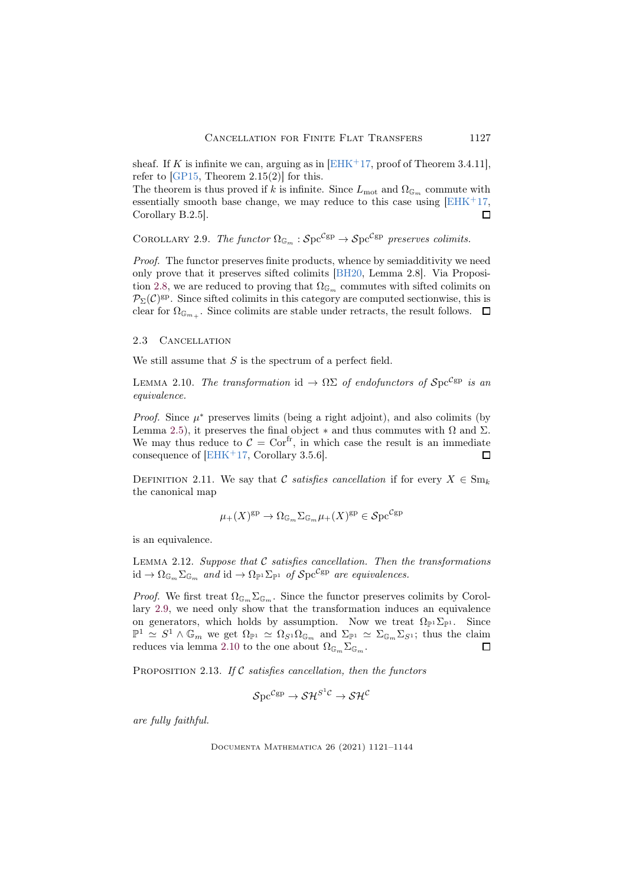sheaf. If K is infinite we can, arguing as in  $[EHK^+17, \text{proof of Theorem 3.4.11}],$ refer to  $[GP15, Theorem 2.15(2)]$  for this.

The theorem is thus proved if k is infinite. Since  $L_{\text{mot}}$  and  $\Omega_{\mathbb{G}_m}$  commute with essentially smooth base change, we may reduce to this case using  $[EHK^+17]$ , Corollary B.2.5].  $\Box$ 

<span id="page-6-0"></span>COROLLARY 2.9. The functor  $\Omega_{\mathbb{G}_m} : Spc^{\mathcal{C}\text{gp}} \to Spc^{\mathcal{C}\text{gp}}$  preserves colimits.

Proof. The functor preserves finite products, whence by semiadditivity we need only prove that it preserves sifted colimits [\[BH20,](#page-21-3) Lemma 2.8]. Via Proposi-tion [2.8,](#page-5-2) we are reduced to proving that  $\Omega_{\mathbb{G}_m}$  commutes with sifted colimits on  $\mathcal{P}_{\Sigma}(\mathcal{C})^{\text{gp}}$ . Since sifted colimits in this category are computed sectionwise, this is clear for  $\Omega_{\mathbb{G}_{m_+}}$ . Since colimits are stable under retracts, the result follows.

## 2.3 Cancellation

We still assume that  $S$  is the spectrum of a perfect field.

<span id="page-6-1"></span>LEMMA 2.10. The transformation id  $\rightarrow \Omega \Sigma$  of endofunctors of  $\mathcal{S}pc^{\mathcal{C}gp}$  is an equivalence.

*Proof.* Since  $\mu^*$  preserves limits (being a right adjoint), and also colimits (by Lemma [2.5\)](#page-3-1), it preserves the final object  $*$  and thus commutes with  $\Omega$  and  $\Sigma$ . We may thus reduce to  $C = \text{Cor}^{\text{fr}}$ , in which case the result is an immediate consequence of  $[EHK^+17, Corollary 3.5.6]$ .  $\Box$ 

DEFINITION 2.11. We say that C satisfies cancellation if for every  $X \in \text{Sm}_k$ the canonical map

$$
\mu_+(X)^{\mathrm{gp}} \to \Omega_{\mathbb{G}_m} \Sigma_{\mathbb{G}_m} \mu_+(X)^{\mathrm{gp}} \in \mathcal{S}\mathrm{pc}^{\mathcal{C}\mathrm{gp}}
$$

is an equivalence.

<span id="page-6-2"></span>LEMMA 2.12. Suppose that  $C$  satisfies cancellation. Then the transformations id  $\to \Omega_{\mathbb{G}_m} \Sigma_{\mathbb{G}_m}$  and id  $\to \Omega_{\mathbb{P}^1} \Sigma_{\mathbb{P}^1}$  of  $\mathcal{S} \text{pc}^{\mathcal{C} \text{gp}}$  are equivalences.

*Proof.* We first treat  $\Omega_{\mathbb{G}_m} \Sigma_{\mathbb{G}_m}$ . Since the functor preserves colimits by Corollary [2.9,](#page-6-0) we need only show that the transformation induces an equivalence on generators, which holds by assumption. Now we treat  $\Omega_{\mathbb{P}^1} \Sigma_{\mathbb{P}^1}$ . Since  $\mathbb{P}^1 \simeq S^1 \wedge \mathbb{G}_m$  we get  $\Omega_{\mathbb{P}^1} \simeq \Omega_{S^1} \Omega_{\mathbb{G}_m}$  and  $\Sigma_{\mathbb{P}^1} \simeq \Sigma_{\mathbb{G}_m} \Sigma_{S^1}$ ; thus the claim reduces via lemma [2.10](#page-6-1) to the one about  $\Omega_{\mathbb{G}_m}\Sigma_{\mathbb{G}_m}$ .  $\Box$ 

<span id="page-6-3"></span>PROPOSITION 2.13. If  $C$  satisfies cancellation, then the functors

$$
\mathcal{S}\mathrm{pc}^{\mathcal{C}\mathrm{gp}} \to \mathcal{SH}^{S^1\mathcal{C}} \to \mathcal{SH}^\mathcal{C}
$$

are fully faithful.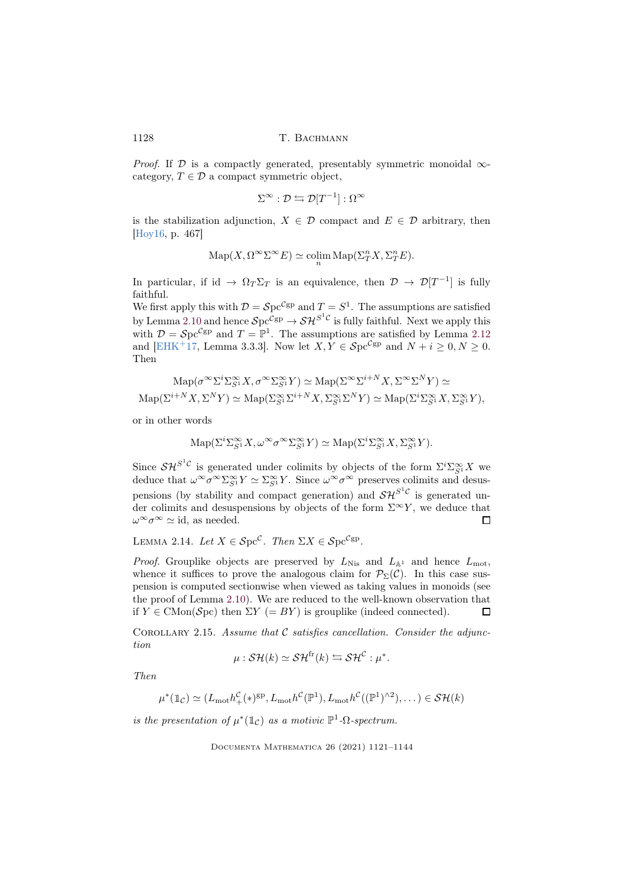*Proof.* If  $D$  is a compactly generated, presentably symmetric monoidal  $\infty$ category,  $T \in \mathcal{D}$  a compact symmetric object,

$$
\Sigma^\infty: \mathcal{D} \leftrightarrows \mathcal{D}[T^{-1}] : \Omega^\infty
$$

is the stabilization adjunction,  $X \in \mathcal{D}$  compact and  $E \in \mathcal{D}$  arbitrary, then [\[Hoy16,](#page-22-10) p. 467]

$$
\mathrm{Map}(X,\Omega^\infty\Sigma^\infty E)\simeq \operatornamewithlimits{colim}_n \mathrm{Map}(\Sigma^n_TX,\Sigma^n_TE).
$$

In particular, if id  $\to \Omega_T \Sigma_T$  is an equivalence, then  $\mathcal{D} \to \mathcal{D}[T^{-1}]$  is fully faithful.

We first apply this with  $\mathcal{D} = \mathcal{S} \text{pc}^{\mathcal{C} \text{gp}}$  and  $T = S^1$ . The assumptions are satisfied by Lemma [2.10](#page-6-1) and hence  $\mathcal{S}pc^{\mathcal{C}\text{gp}} \to \mathcal{SH}^{S^1\mathcal{C}}$  is fully faithful. Next we apply this with  $\mathcal{D} = \mathcal{S} \text{pc}^{\mathcal{C} \text{gp}}$  and  $T = \mathbb{P}^1$ . The assumptions are satisfied by Lemma [2.12](#page-6-2) and [\[EHK](#page-21-2)<sup>+</sup>17, Lemma 3.3.3]. Now let  $X, Y \in Spc^{\mathcal{C}\mathrm{gp}}$  and  $N + i \geq 0, N \geq 0$ . Then

$$
\mathrm{Map}(\sigma^{\infty} \Sigma^{i} \Sigma^{\infty}_{S} X, \sigma^{\infty} \Sigma^{\infty}_{S} Y) \simeq \mathrm{Map}(\Sigma^{\infty} \Sigma^{i+N} X, \Sigma^{\infty} \Sigma^{N} Y) \simeq
$$
  

$$
\mathrm{Map}(\Sigma^{i+N} X, \Sigma^{N} Y) \simeq \mathrm{Map}(\Sigma^{\infty}_{S} \Sigma^{i+N} X, \Sigma^{\infty}_{S} \Sigma^{N} Y) \simeq \mathrm{Map}(\Sigma^{i} \Sigma^{\infty}_{S} X, \Sigma^{\infty}_{S} Y),
$$

or in other words

$$
\mathrm{Map}(\Sigma^i \Sigma_{S^1}^{\infty} X, \omega^{\infty} \sigma^{\infty} \Sigma_{S^1}^{\infty} Y) \simeq \mathrm{Map}(\Sigma^i \Sigma_{S^1}^{\infty} X, \Sigma_{S^1}^{\infty} Y).
$$

Since  $\mathcal{SH}^{S^1\mathcal{C}}$  is generated under colimits by objects of the form  $\Sigma^i \Sigma_{S^1}^{\infty} X$  we deduce that  $\omega^{\infty}\sigma^{\infty}\Sigma_{S^1}^{\infty}Y \simeq \Sigma_{S^1}^{\infty}Y$ . Since  $\omega^{\infty}\sigma^{\infty}$  preserves colimits and desuspensions (by stability and compact generation) and  $\mathcal{SH}^{S^1\mathcal{C}}$  is generated under colimits and desuspensions by objects of the form  $\Sigma^{\infty}Y$ , we deduce that  $\omega^{\infty} \sigma^{\infty} \simeq id$ , as needed.  $\Box$ 

<span id="page-7-0"></span>LEMMA 2.14. Let  $X \in \mathcal{S}pc^{\mathcal{C}}$ . Then  $\Sigma X \in \mathcal{S}pc^{\mathcal{C}gp}$ .

*Proof.* Grouplike objects are preserved by  $L_{\text{Nis}}$  and  $L_{\mathbb{A}^1}$  and hence  $L_{\text{mot}}$ , whence it suffices to prove the analogous claim for  $\mathcal{P}_{\Sigma}(\mathcal{C})$ . In this case suspension is computed sectionwise when viewed as taking values in monoids (see the proof of Lemma [2.10\)](#page-6-1). We are reduced to the well-known observation that if  $Y \in \text{CMon}(\mathcal{S}\text{pc})$  then  $\Sigma Y (= BY)$  is grouplike (indeed connected). П

<span id="page-7-1"></span>COROLLARY 2.15. Assume that  $\mathcal C$  satisfies cancellation. Consider the adjunction

$$
\mu: \mathcal{SH}(k) \simeq \mathcal{SH}^{\text{fr}}(k) \leftrightarrows \mathcal{SH}^{\mathcal{C}} : \mu^*.
$$

Then

$$
\mu^*(\mathbb{1}_{\mathcal{C}}) \simeq (L_{\text{mot}}h^{\mathcal{C}}_+(\ast)^{\text{gp}}, L_{\text{mot}}h^{\mathcal{C}}(\mathbb{P}^1), L_{\text{mot}}h^{\mathcal{C}}((\mathbb{P}^1)^{\wedge 2}), \dots) \in \mathcal{SH}(k)
$$

is the presentation of  $\mu^*(1\mathbb{C})$  as a motivic  $\mathbb{P}^1$ - $\Omega$ -spectrum.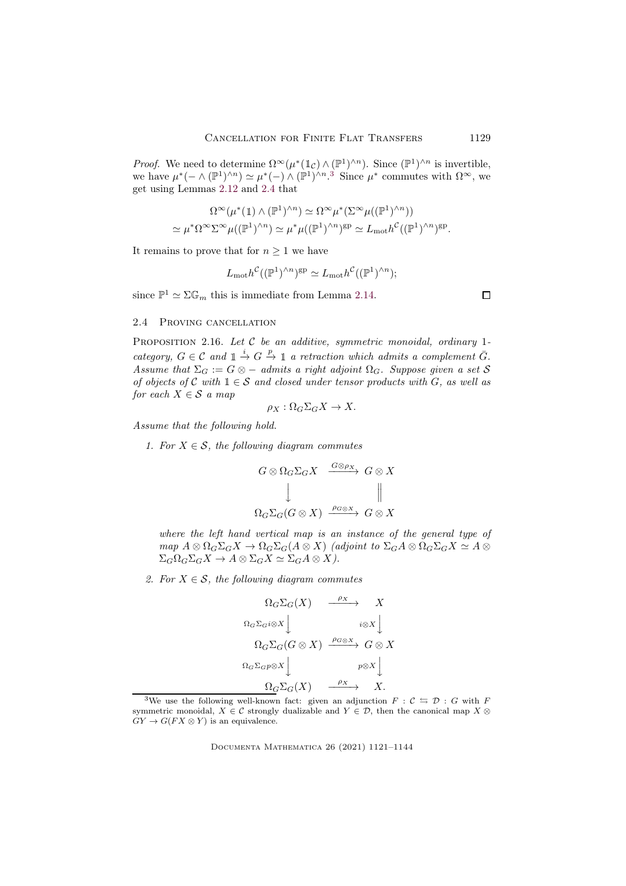*Proof.* We need to determine  $\Omega^{\infty}(\mu^*(1_{\mathcal{C}}) \wedge (\mathbb{P}^1)^{\wedge n})$ . Since  $(\mathbb{P}^1)^{\wedge n}$  is invertible, we have  $\mu^*(- \wedge (\mathbb{P}^1)^{\wedge n}) \simeq \mu^*(-) \wedge (\mathbb{P}^1)^{\wedge n}$ .<sup>[3](#page-8-1)</sup> Since  $\mu^*$  commutes with  $\Omega^{\infty}$ , we get using Lemmas [2.12](#page-6-2) and [2.4](#page-3-0) that

$$
\Omega^{\infty}(\mu^*(1) \wedge (\mathbb{P}^1)^{\wedge n}) \simeq \Omega^{\infty} \mu^*(\Sigma^{\infty} \mu((\mathbb{P}^1)^{\wedge n}))
$$
  

$$
\simeq \mu^* \Omega^{\infty} \Sigma^{\infty} \mu((\mathbb{P}^1)^{\wedge n}) \simeq \mu^* \mu((\mathbb{P}^1)^{\wedge n})^{\text{gp}} \simeq L_{\text{mot}} h^{\mathcal{C}}((\mathbb{P}^1)^{\wedge n})^{\text{gp}}.
$$

It remains to prove that for  $n \geq 1$  we have

$$
L_{\text{mot}}h^{\mathcal{C}}((\mathbb{P}^{1})^{\wedge n})^{\text{gp}} \simeq L_{\text{mot}}h^{\mathcal{C}}((\mathbb{P}^{1})^{\wedge n});
$$

since  $\mathbb{P}^1 \simeq \Sigma \mathbb{G}_m$  this is immediate from Lemma [2.14.](#page-7-0)

## 2.4 Proving cancellation

<span id="page-8-0"></span>PROPOSITION 2.16. Let  $C$  be an additive, symmetric monoidal, ordinary 1category,  $G \in \mathcal{C}$  and  $\mathbb{1} \stackrel{i}{\to} G \stackrel{p}{\to} \mathbb{1}$  a retraction which admits a complement  $\overline{G}$ . Assume that  $\Sigma_G := G \otimes -$  admits a right adjoint  $\Omega_G$ . Suppose given a set S of objects of C with  $1 \in S$  and closed under tensor products with G, as well as for each  $X \in \mathcal{S}$  a map

$$
\rho_X : \Omega_G \Sigma_G X \to X.
$$

Assume that the following hold.

1. For  $X \in \mathcal{S}$ , the following diagram commutes

$$
G \otimes \Omega_G \Sigma_G X \xrightarrow{G \otimes \rho_X} G \otimes X
$$
  
\n
$$
\downarrow \qquad \qquad \parallel
$$
  
\n
$$
\Omega_G \Sigma_G (G \otimes X) \xrightarrow{\rho_G \otimes X} G \otimes X
$$

where the left hand vertical map is an instance of the general type of  $map A \otimes \Omega_G \Sigma_G X \to \Omega_G \Sigma_G (A \otimes X)$  (adjoint to  $\Sigma_G A \otimes \Omega_G \Sigma_G X \simeq A \otimes$  $\Sigma_G \Omega_G \Sigma_G X \to A \otimes \Sigma_G X \simeq \Sigma_G A \otimes X$ ).

2. For  $X \in \mathcal{S}$ , the following diagram commutes

$$
\Omega_G \Sigma_G(X) \xrightarrow{\rho_X} X
$$
  
\n
$$
\Omega_G \Sigma_G i \otimes X \downarrow \qquad i \otimes X \downarrow
$$
  
\n
$$
\Omega_G \Sigma_G(G \otimes X) \xrightarrow{\rho_G \otimes X} G \otimes X
$$
  
\n
$$
\Omega_G \Sigma_G p \otimes X \downarrow \qquad p \otimes X \downarrow
$$
  
\n
$$
\Omega_G \Sigma_G(X) \xrightarrow{\rho_X} X.
$$

Documenta Mathematica 26 (2021) 1121–1144

 $\Box$ 

<span id="page-8-1"></span><sup>&</sup>lt;sup>3</sup>We use the following well-known fact: given an adjunction  $F : \mathcal{C} \leftrightarrows \mathcal{D} : G$  with F symmetric monoidal,  $X \in \mathcal{C}$  strongly dualizable and  $Y \in \mathcal{D}$ , then the canonical map  $X \otimes$  $GY \to G(FX \otimes Y)$  is an equivalence.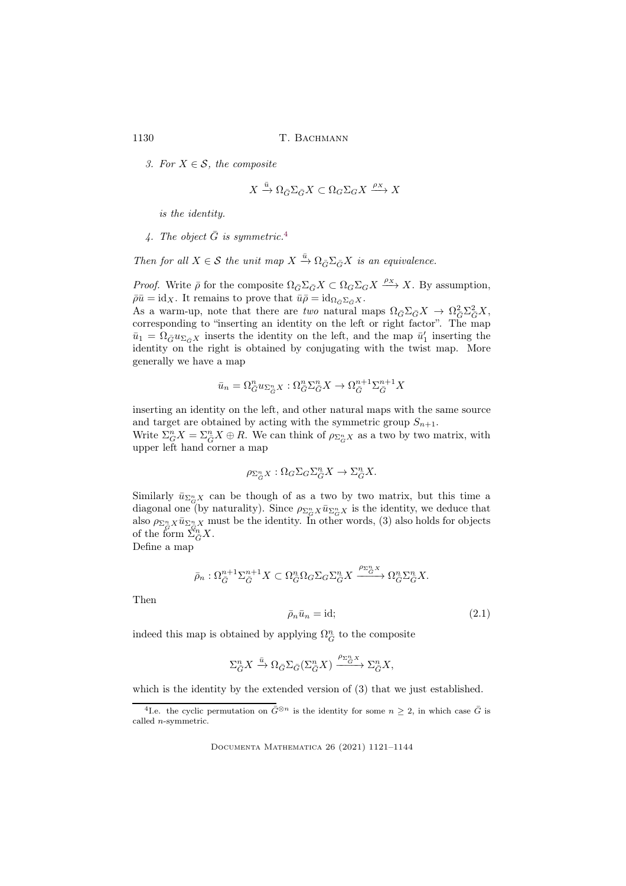3. For  $X \in \mathcal{S}$ , the composite

$$
X\xrightarrow{\bar{u}}\Omega_{\bar{G}}\Sigma_{\bar{G}}X\subset \Omega_{G}\Sigma_{G}X\xrightarrow{\rho_X}X
$$

is the identity.

[4](#page-9-0). The object  $\bar{G}$  is symmetric.<sup>4</sup>

Then for all  $X \in \mathcal{S}$  the unit map  $X \xrightarrow{\bar{u}} \Omega_{\bar{G}} \Sigma_{\bar{G}} X$  is an equivalence.

*Proof.* Write  $\bar{\rho}$  for the composite  $\Omega_{\bar{G}}\Sigma_{\bar{G}}X \subset \Omega_G\Sigma_GX \xrightarrow{\rho_X} X$ . By assumption,  $\bar{\rho}\bar{u} = \mathrm{id}_X$ . It remains to prove that  $\bar{u}\bar{\rho} = \mathrm{id}_{\Omega_{\bar{G}}\Sigma_{\bar{G}}X}$ .

As a warm-up, note that there are two natural maps  $\Omega_{\bar{G}}\Sigma_{\bar{G}}X \to \Omega_{\bar{G}}^2\Sigma_{\bar{G}}^2X$ , corresponding to "inserting an identity on the left or right factor". The map  $\bar{u}_1 = \Omega_{\bar{G}} u_{\Sigma_{\bar{G}} X}$  inserts the identity on the left, and the map  $\bar{u}'_1$  inserting the identity on the right is obtained by conjugating with the twist map. More generally we have a map

$$
\bar{u}_n = \Omega_{\bar{G}}^n u_{\Sigma_{\bar{G}}^n X} : \Omega_{\bar{G}}^n \Sigma_{\bar{G}}^n X \to \Omega_{\bar{G}}^{n+1} \Sigma_{\bar{G}}^{n+1} X
$$

inserting an identity on the left, and other natural maps with the same source and target are obtained by acting with the symmetric group  $S_{n+1}$ .

Write  $\Sigma_G^n X = \Sigma_{\overline{G}}^n X \oplus R$ . We can think of  $\rho_{\Sigma_G^n X}$  as a two by two matrix, with upper left hand corner a map

$$
\rho_{\Sigma_{\bar{G}}^n X} : \Omega_G \Sigma_G \Sigma_{\bar{G}}^n X \to \Sigma_{\bar{G}}^n X.
$$

Similarly  $\bar{u}_{\Sigma_{G}^{n} X}$  can be though of as a two by two matrix, but this time a diagonal one (by naturality). Since  $\rho_{\Sigma_G^n} \chi \bar{u}_{\Sigma_G^n} \chi$  is the identity, we deduce that also  $\rho_{\Sigma_{\tilde{G}}^n X} \bar{u}_{\Sigma_{\tilde{G}}^n X}$  must be the identity. In other words, (3) also holds for objects of the form  $\sum_{\overline{G}}^{n} X$ .

Define a map

$$
\bar{\rho}_n : \Omega_{\bar{G}}^{n+1} \Sigma_{\bar{G}}^{n+1} X \subset \Omega_{\bar{G}}^n \Omega_G \Sigma_G \Sigma_{\bar{G}}^n X \xrightarrow{\rho_{\Sigma_n^n X}} \Omega_{\bar{G}}^n \Sigma_{\bar{G}}^n X.
$$

<span id="page-9-1"></span>Then

$$
\bar{\rho}_n \bar{u}_n = \text{id};\tag{2.1}
$$

indeed this map is obtained by applying  $\Omega_{\bar{G}}^n$  to the composite

$$
\Sigma_{\bar{G}}^n X \xrightarrow{\bar{u}} \Omega_{\bar{G}} \Sigma_{\bar{G}} (\Sigma_{\bar{G}}^n X) \xrightarrow{\rho_{\Sigma_{\bar{G}}^n X}} \Sigma_{\bar{G}}^n X,
$$

which is the identity by the extended version of (3) that we just established.

<span id="page-9-0"></span><sup>&</sup>lt;sup>4</sup>I.e. the cyclic permutation on  $\bar{G}^{\otimes n}$  is the identity for some  $n \geq 2$ , in which case  $\bar{G}$  is called n-symmetric.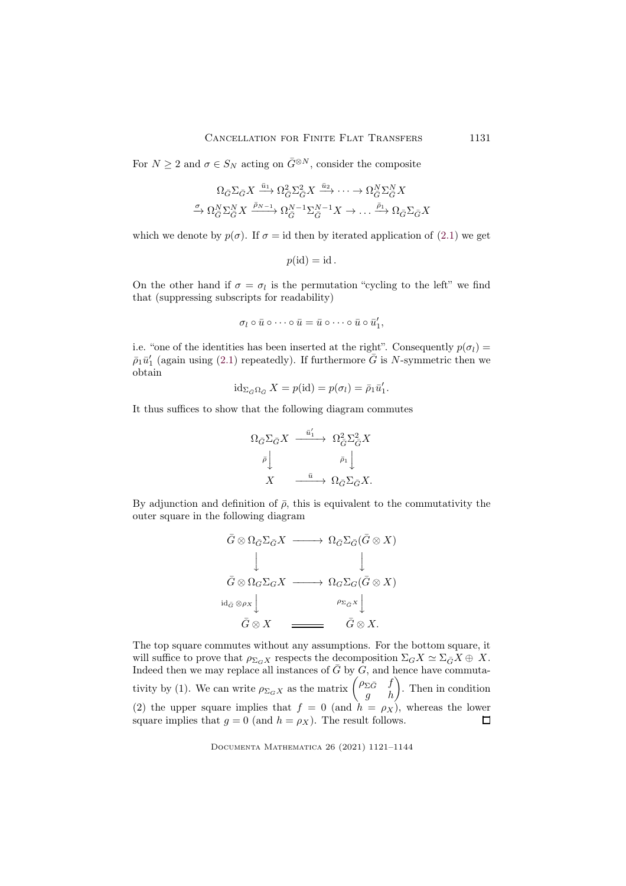For  $N \geq 2$  and  $\sigma \in S_N$  acting on  $\bar{G}^{\otimes N}$ , consider the composite

$$
\begin{aligned} \Omega_{\bar{G}} \Sigma_{\bar{G}} X &\xrightarrow{\bar{u}_1} \Omega_{\bar{G}}^2 \Sigma_{\bar{G}}^2 X \xrightarrow{\bar{u}_2} \cdots \to \Omega_{\bar{G}}^N \Sigma_{\bar{G}}^N X \\ \xrightarrow{\sigma} \Omega_{\bar{G}}^N \Sigma_{\bar{G}}^N X &\xrightarrow{\bar{p}_{N-1}} \Omega_{\bar{G}}^{N-1} \Sigma_{\bar{G}}^{N-1} X \to \dots \xrightarrow{\bar{p}_1} \Omega_{\bar{G}} \Sigma_{\bar{G}} X \end{aligned}
$$

which we denote by  $p(\sigma)$ . If  $\sigma = id$  then by iterated application of [\(2.1\)](#page-9-1) we get

$$
p(\mathrm{id}) = \mathrm{id}.
$$

On the other hand if  $\sigma = \sigma_l$  is the permutation "cycling to the left" we find that (suppressing subscripts for readability)

$$
\sigma_l \circ \bar{u} \circ \cdots \circ \bar{u} = \bar{u} \circ \cdots \circ \bar{u} \circ \bar{u}'_1,
$$

i.e. "one of the identities has been inserted at the right". Consequently  $p(\sigma_l)$  =  $\bar{\rho}_1 \bar{u}'_1$  (again using [\(2.1\)](#page-9-1) repeatedly). If furthermore  $\bar{G}$  is N-symmetric then we obtain

$$
id_{\Sigma_{\bar{G}}\Omega_{\bar{G}}} X = p(id) = p(\sigma_l) = \bar{\rho}_1 \bar{u}'_1.
$$

It thus suffices to show that the following diagram commutes

$$
\begin{array}{ccc}\n\Omega_{\bar{G}}\Sigma_{\bar{G}}X & \xrightarrow{\bar{u}'_1} & \Omega_{\bar{G}}^2\Sigma_{\bar{G}}^2X \\
\bar{\rho}\Big\downarrow & & & \bar{\rho}_1\Big\downarrow \\
X & \xrightarrow{\bar{u}} & \Omega_{\bar{G}}\Sigma_{\bar{G}}X.\n\end{array}
$$

By adjunction and definition of  $\bar{\rho}$ , this is equivalent to the commutativity the outer square in the following diagram

$$
\begin{array}{ccc}\n\bar{G}\otimes\Omega_{\bar{G}}\Sigma_{\bar{G}}X & \longrightarrow & \Omega_{\bar{G}}\Sigma_{\bar{G}}(\bar{G}\otimes X) \\
& & \downarrow & & \downarrow \\
\bar{G}\otimes\Omega_{G}\Sigma_{G}X & \longrightarrow & \Omega_{G}\Sigma_{G}(\bar{G}\otimes X) \\
& & & \downarrow \\
\bar{G}\otimes^{\rho_{X}}\downarrow & & \rho_{\Sigma_{\bar{G}}X}\downarrow \\
& & & \bar{G}\otimes X & \longrightarrow \\
& & & \bar{G}\otimes X.\n\end{array}
$$

The top square commutes without any assumptions. For the bottom square, it will suffice to prove that  $\rho_{\Sigma_G X}$  respects the decomposition  $\Sigma_G X \simeq \Sigma_{\bar{G}} X \oplus X$ . Indeed then we may replace all instances of  $\bar{G}$  by  $G$ , and hence have commutativity by (1). We can write  $\rho_{\Sigma_G X}$  as the matrix  $\begin{pmatrix} \rho_{\Sigma \bar{G}} & f \\ g & h \end{pmatrix}$ . Then in condition (2) the upper square implies that  $f = 0$  (and  $h = \rho_X$ ), whereas the lower square implies that  $g = 0$  (and  $h = \rho_X$ ). The result follows.  $\Box$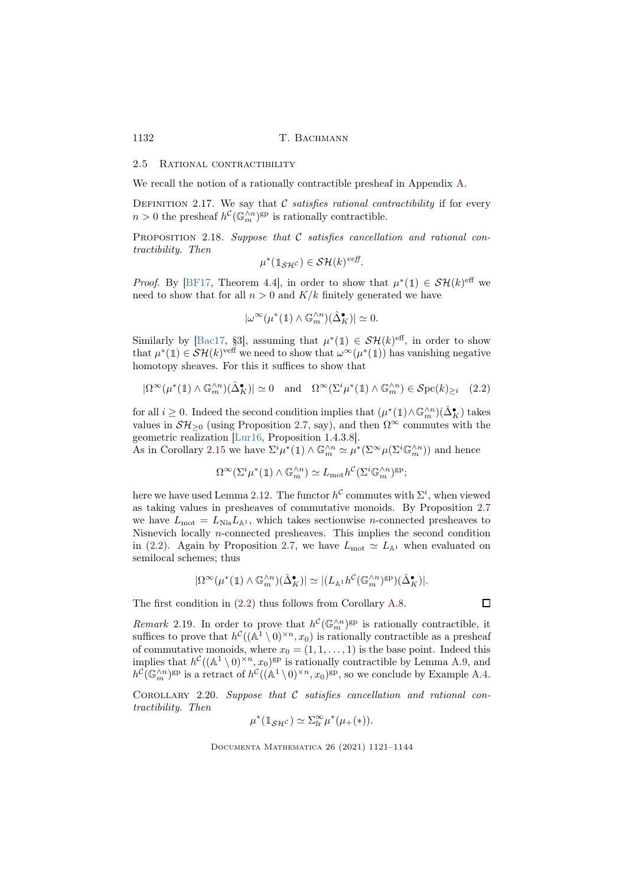#### 2.5 RATIONAL CONTRACTIBILITY

We recall the notion of a rationally contractible presheaf in Appendix [A.](#page-19-1)

<span id="page-11-0"></span>DEFINITION 2.17. We say that  $C$  satisfies rational contractibility if for every  $n > 0$  the presheaf  $h^{\mathcal{C}}(\mathbb{G}_m^{\wedge n})^{\text{gp}}$  is rationally contractible.

PROPOSITION 2.18. Suppose that  $C$  satisfies cancellation and rational contractibility. Then

$$
\mu^*(1_{\mathcal{SH}}c) \in \mathcal{SH}(k)^{veff}.
$$

*Proof.* By [\[BF17,](#page-21-0) Theorem 4.4], in order to show that  $\mu^*(1) \in \mathcal{SH}(k)$ <sup>eff</sup> we need to show that for all  $n > 0$  and  $K/k$  finitely generated we have

<span id="page-11-1"></span>
$$
|\omega^\infty(\mu^*(\mathbb{1})\wedge \mathbb{G}_m^{\wedge n})(\hat{\Delta}_K^\bullet)|\simeq 0.
$$

Similarly by [\[Bac17,](#page-21-5) §3], assuming that  $\mu^*(1) \in \mathcal{SH}(k)$ <sup>eff</sup>, in order to show that  $\mu^*(1) \in \mathcal{SH}(k)^\text{veff}$  we need to show that  $\omega^\infty(\mu^*(1))$  has vanishing negative homotopy sheaves. For this it suffices to show that

$$
|\Omega^{\infty}(\mu^*(1) \wedge \mathbb{G}_m^{\wedge n})(\hat{\Delta}_K^{\bullet})| \simeq 0 \quad \text{and} \quad \Omega^{\infty}(\Sigma^i \mu^*(1) \wedge \mathbb{G}_m^{\wedge n}) \in \mathcal{S}\mathrm{pc}(k)_{\geq i} \quad (2.2)
$$

for all  $i \geq 0$ . Indeed the second condition implies that  $(\mu^*(1) \wedge \mathbb{G}_m^{\wedge n})(\hat{\Delta}_{\mathcal{K}}^{\bullet})$  takes values in  $\mathcal{SH}_{\geq 0}$  (using Proposition [2.7,](#page-5-1) say), and then  $\Omega^{\infty}$  commutes with the geometric realization [\[Lur16,](#page-22-3) Proposition 1.4.3.8].

As in Corollary [2.15](#page-7-1) we have  $\Sigma^i \mu^*(1) \wedge \mathbb{G}_m^{\wedge n} \simeq \mu^*(\Sigma^{\infty} \mu(\Sigma^i \mathbb{G}_m^{\wedge n}))$  and hence

$$
\Omega^\infty(\Sigma^i \mu^*(1) \wedge \mathbb{G}_m^{\wedge n}) \simeq L_{\text{mot}} h^{\mathcal{C}}(\Sigma^i \mathbb{G}_m^{\wedge n})^{\text{gp}};
$$

here we have used Lemma [2.12.](#page-6-2) The functor  $h^{\mathcal{C}}$  commutes with  $\Sigma^{i}$ , when viewed as taking values in presheaves of commutative monoids. By Proposition [2.7](#page-5-1) we have  $L_{\text{mot}} = L_{\text{Nis}} L_{\mathbb{A}^1}$ , which takes sectionwise *n*-connected presheaves to Nisnevich locally  $n$ -connected presheaves. This implies the second condition in [\(2.2\)](#page-11-1). Again by Proposition [2.7,](#page-5-1) we have  $L_{\text{mot}} \simeq L_{\mathbb{A}^1}$  when evaluated on semilocal schemes; thus

$$
|\Omega^\infty(\mu^*(\mathbb{1})\wedge \mathbb{G}_m^{\wedge n})(\hat{\Delta}^\bullet_K)|\simeq |(L_{\mathbb{A}^1}h^{\mathcal{C}}(\mathbb{G}_m^{\wedge n})^{\rm gp})(\hat{\Delta}^\bullet_K)|.
$$

The first condition in [\(2.2\)](#page-11-1) thus follows from Corollary [A.8.](#page-20-0)

 $\Box$ 

<span id="page-11-2"></span>Remark 2.19. In order to prove that  $h^{\mathcal{C}}(\mathbb{G}_m^{\wedge n})^{\text{gp}}$  is rationally contractible, it suffices to prove that  $h^{\mathcal{C}}((\mathbb{A}^1 \setminus 0)^{\times n}, x_0)$  is rationally contractible as a presheaf of commutative monoids, where  $x_0 = (1, 1, \ldots, 1)$  is the base point. Indeed this implies that  $h^{\mathcal{C}}((\mathbb{A}^1 \setminus 0)^{\times n}, x_0)$ <sup>gp</sup> is rationally contractible by Lemma [A.9,](#page-21-6) and  $h^{\mathcal{C}}(\mathbb{G}_m^{\wedge n})^{\text{gp}}$  is a retract of  $h^{\mathcal{C}}((\mathbb{A}^1 \setminus 0)^{\times n}, x_0)^{\text{gp}}$ , so we conclude by Example [A.4.](#page-19-2)

<span id="page-11-3"></span>COROLLARY 2.20. Suppose that  $C$  satisfies cancellation and rational contractibility. Then

$$
\mu^*(1_{\mathcal{SH}^{\mathcal{C}}}) \simeq \Sigma_{\text{fr}}^{\infty} \mu^*(\mu_+(*)).
$$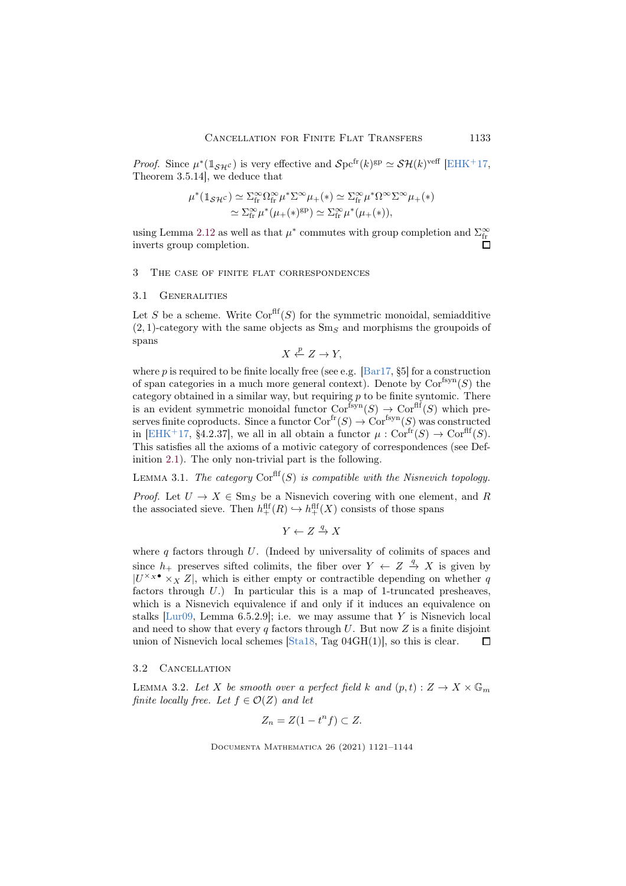*Proof.* Since  $\mu^*(1_{\mathcal{SH}^c})$  is very effective and  $\mathcal{S}pt^{fr}(k)^{gp} \simeq \mathcal{SH}(k)^{veff}$  [\[EHK](#page-21-2)<sup>+</sup>17, Theorem 3.5.14], we deduce that

$$
\mu^*(1_{\mathcal{SH}}c) \simeq \sum_{\text{fr}}^{\infty} \Omega_{\text{fr}}^{\infty} \mu^* \Sigma^{\infty} \mu_+(*) \simeq \sum_{\text{fr}}^{\infty} \mu^* \Omega^{\infty} \Sigma^{\infty} \mu_+(*)
$$
  

$$
\simeq \sum_{\text{fr}}^{\infty} \mu^* (\mu_+(*)^{\text{gp}}) \simeq \sum_{\text{fr}}^{\infty} \mu^* (\mu_+(*)),
$$

using Lemma [2.12](#page-6-2) as well as that  $\mu^*$  commutes with group completion and  $\Sigma_\text{fr}^\infty$ inverts group completion.

## <span id="page-12-0"></span>3 The case of finite flat correspondences

### 3.1 Generalities

Let S be a scheme. Write  $Cor<sup>fft</sup>(S)$  for the symmetric monoidal, semiadditive  $(2, 1)$ -category with the same objects as  $\text{Sm}_S$  and morphisms the groupoids of spans

$$
X \xleftarrow{p} Z \to Y,
$$

where p is required to be finite locally free (see e.g.  $\left[\text{Bar}17, \text{$}5\text{F}\right]$  for a construction of span categories in a much more general context). Denote by  $Cor<sup>fsyn</sup>(S)$  the category obtained in a similar way, but requiring  $p$  to be finite syntomic. There is an evident symmetric monoidal functor  $Cor<sup>fsyn</sup>(S) \to Cor<sup>fft</sup>(S)$  which preserves finite coproducts. Since a functor  $Cor^{fr}(S) \to Cor^{fsyn}(S)$  was constructed in [\[EHK](#page-21-2)<sup>+</sup>17, §4.2.37], we all in all obtain a functor  $\mu$ : Cor<sup>fr</sup> $(S) \to \text{Cor}^{\text{ff}}(S)$ . This satisfies all the axioms of a motivic category of correspondences (see Definition [2.1\)](#page-2-1). The only non-trivial part is the following.

LEMMA 3.1. The category  $Cor<sup>ff</sup>(S)$  is compatible with the Nisnevich topology.

*Proof.* Let  $U \to X \in \text{Sm}_S$  be a Nisnevich covering with one element, and R the associated sieve. Then  $h_+^{\text{fff}}(R) \hookrightarrow h_+^{\text{fff}}(X)$  consists of those spans

 $Y \leftarrow Z \stackrel{q}{\rightarrow} X$ 

where  $q$  factors through  $U$ . (Indeed by universality of colimits of spaces and since  $h_+$  preserves sifted colimits, the fiber over  $Y \leftarrow Z \stackrel{q}{\rightarrow} X$  is given by  $|U^{\times} \times X Z|$ , which is either empty or contractible depending on whether q factors through  $U$ .) In particular this is a map of 1-truncated presheaves, which is a Nisnevich equivalence if and only if it induces an equivalence on stalks  $[Lur09, Lemma 6.5.2.9]$ ; i.e. we may assume that Y is Nisnevich local and need to show that every q factors through U. But now Z is a finite disjoint union of Nisnevich local schemes [\[Sta18,](#page-23-3) Tag 04GH(1)], so this is clear.  $\Box$ 

## 3.2 Cancellation

<span id="page-12-1"></span>LEMMA 3.2. Let X be smooth over a perfect field k and  $(p, t) : Z \to X \times \mathbb{G}_m$ finite locally free. Let  $f \in \mathcal{O}(Z)$  and let

$$
Z_n = Z(1 - t^n f) \subset Z.
$$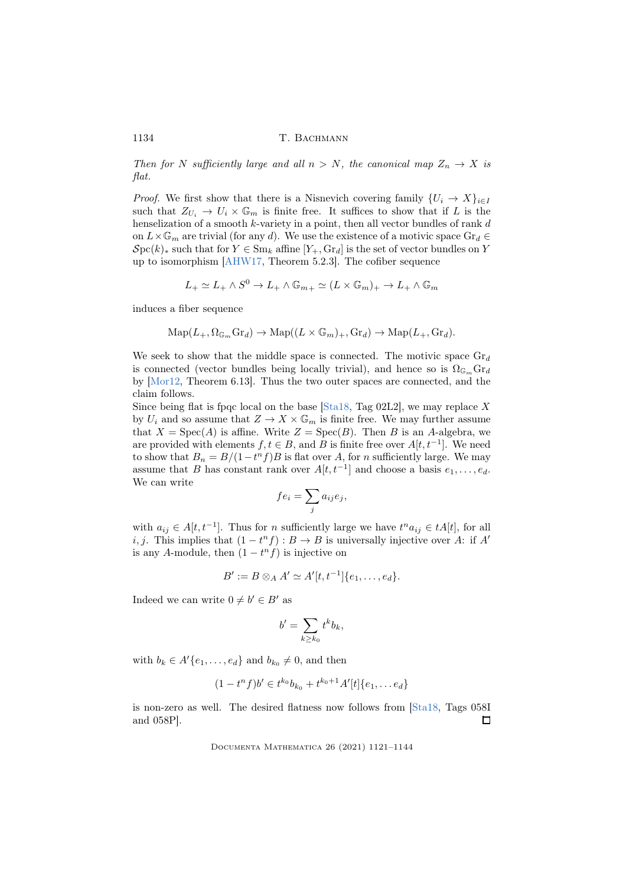Then for N sufficiently large and all  $n > N$ , the canonical map  $Z_n \to X$  is flat.

*Proof.* We first show that there is a Nisnevich covering family  $\{U_i \to X\}_{i \in I}$ such that  $Z_{U_i} \to U_i \times \mathbb{G}_m$  is finite free. It suffices to show that if L is the henselization of a smooth  $k$ -variety in a point, then all vector bundles of rank  $d$ on  $L \times \mathbb{G}_m$  are trivial (for any d). We use the existence of a motivic space  $\text{Gr}_d \in$  $\mathcal{S}pc(k)_*$  such that for  $Y \in \text{Sm}_k$  affine  $[Y_+, \text{Gr}_d]$  is the set of vector bundles on Y up to isomorphism [\[AHW17,](#page-21-8) Theorem 5.2.3]. The cofiber sequence

$$
L_+ \simeq L_+ \wedge S^0 \to L_+ \wedge \mathbb{G}_{m_+} \simeq (L \times \mathbb{G}_m)_+ \to L_+ \wedge \mathbb{G}_m
$$

induces a fiber sequence

$$
\mathrm{Map}(L_+,\Omega_{\mathbb{G}_m}\mathrm{Gr}_d)\to\mathrm{Map}((L\times\mathbb{G}_m)_+,\mathrm{Gr}_d)\to\mathrm{Map}(L_+,\mathrm{Gr}_d).
$$

We seek to show that the middle space is connected. The motivic space  $\text{Gr}_d$ is connected (vector bundles being locally trivial), and hence so is  $\Omega_{\mathbb{G}_m}$  Gr<sub>d</sub> by [\[Mor12,](#page-22-7) Theorem 6.13]. Thus the two outer spaces are connected, and the claim follows.

Since being flat is fpqc local on the base [\[Sta18,](#page-23-3) Tag 02L2], we may replace X by  $U_i$  and so assume that  $Z \to X \times \mathbb{G}_m$  is finite free. We may further assume that  $X = \text{Spec}(A)$  is affine. Write  $Z = \text{Spec}(B)$ . Then B is an A-algebra, we are provided with elements  $f, t \in B$ , and B is finite free over  $A[t, t^{-1}]$ . We need to show that  $B_n = B/(1-t^n f)B$  is flat over A, for n sufficiently large. We may assume that B has constant rank over  $A[t, t^{-1}]$  and choose a basis  $e_1, \ldots, e_d$ . We can write

$$
fe_i = \sum_j a_{ij} e_j,
$$

with  $a_{ij} \in A[t, t^{-1}]$ . Thus for *n* sufficiently large we have  $t^n a_{ij} \in tA[t]$ , for all i, j. This implies that  $(1 - t<sup>n</sup> f) : B \to B$  is universally injective over A: if A' is any A-module, then  $(1 - t<sup>n</sup> f)$  is injective on

$$
B' := B \otimes_A A' \simeq A'[t, t^{-1}]\{e_1, \ldots, e_d\}.
$$

Indeed we can write  $0 \neq b' \in B'$  as

$$
b' = \sum_{k \ge k_0} t^k b_k,
$$

with  $b_k \in A'\{e_1, \ldots, e_d\}$  and  $b_{k_0} \neq 0$ , and then

$$
(1-tn f)b' \in tk0bk0 + tk0+1A'[t]\{e1, \ldots ed\}
$$

is non-zero as well. The desired flatness now follows from [\[Sta18,](#page-23-3) Tags 058I and 058P].  $\Box$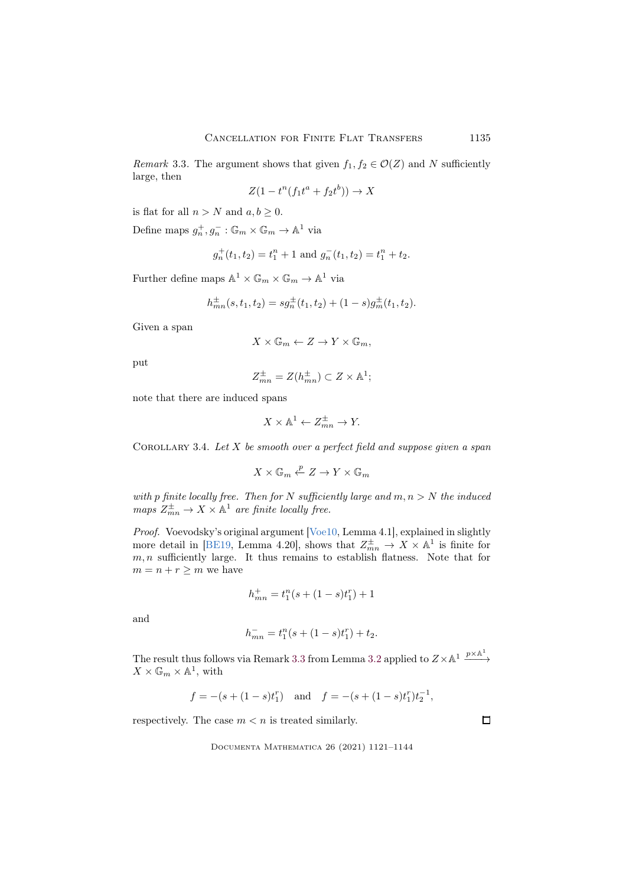<span id="page-14-1"></span>Remark 3.3. The argument shows that given  $f_1, f_2 \in \mathcal{O}(Z)$  and N sufficiently large, then

$$
Z(1 - t^n(f_1 t^a + f_2 t^b)) \to X
$$

is flat for all  $n > N$  and  $a, b \geq 0$ .

Define maps  $g_n^+, g_n^- : \mathbb{G}_m \times \mathbb{G}_m \to \mathbb{A}^1$  via

$$
g_n^+(t_1, t_2) = t_1^n + 1
$$
 and  $g_n^-(t_1, t_2) = t_1^n + t_2$ .

Further define maps  $\mathbb{A}^1 \times \mathbb{G}_m \times \mathbb{G}_m \to \mathbb{A}^1$  via

$$
h_{mn}^{\pm}(s, t_1, t_2) = s g_n^{\pm}(t_1, t_2) + (1 - s) g_m^{\pm}(t_1, t_2).
$$

Given a span

$$
X \times \mathbb{G}_m \leftarrow Z \to Y \times \mathbb{G}_m,
$$

put

$$
Z_{mn}^{\pm} = Z(h_{mn}^{\pm}) \subset Z \times \mathbb{A}^1;
$$

note that there are induced spans

$$
X \times \mathbb{A}^1 \leftarrow Z_{mn}^{\pm} \rightarrow Y.
$$

<span id="page-14-0"></span>COROLLARY 3.4. Let  $X$  be smooth over a perfect field and suppose given a span

$$
X \times {\mathbb G}_m \stackrel{p}{\leftarrow} Z \to Y \times {\mathbb G}_m
$$

with p finite locally free. Then for N sufficiently large and  $m, n > N$  the induced maps  $Z_{mn}^{\pm} \to X \times \mathbb{A}^1$  are finite locally free.

Proof. Voevodsky's original argument [\[Voe10,](#page-23-1) Lemma 4.1], explained in slightly more detail in [\[BE19,](#page-21-9) Lemma 4.20], shows that  $Z_{mn}^{\pm} \to X \times \mathbb{A}^1$  is finite for  $m, n$  sufficiently large. It thus remains to establish flatness. Note that for  $m = n + r \geq m$  we have

$$
h_{mn}^+ = t_1^n(s + (1-s)t_1^r) + 1
$$

and

$$
h_{mn}^- = t_1^n(s + (1-s)t_1^r) + t_2.
$$

The result thus follows via Remark [3.3](#page-14-1) from Lemma [3.2](#page-12-1) applied to  $Z \times \mathbb{A}^1 \xrightarrow{p \times \mathbb{A}^1}$  $X \times \mathbb{G}_m \times \mathbb{A}^1$ , with

$$
f = -(s + (1 - s)t_1^r)
$$
 and  $f = -(s + (1 - s)t_1^r)t_2^{-1}$ ,

respectively. The case  $m < n$  is treated similarly.

Documenta Mathematica 26 (2021) 1121–1144

 $\Box$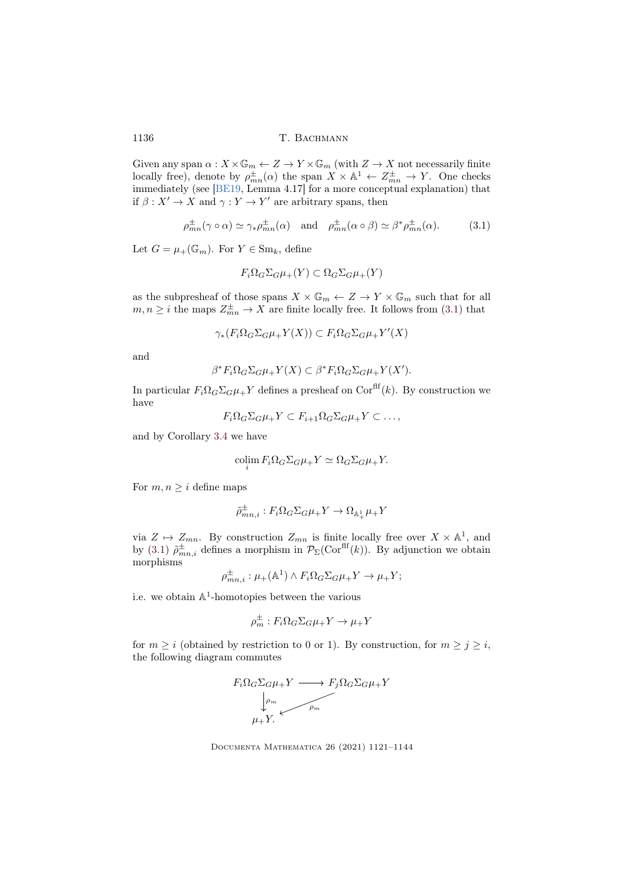Given any span  $\alpha: X \times \mathbb{G}_m \leftarrow Z \to Y \times \mathbb{G}_m$  (with  $Z \to X$  not necessarily finite locally free), denote by  $\rho_{mn}^{\pm}(\alpha)$  the span  $X \times \mathbb{A}^1 \leftarrow Z_{mn}^{\pm} \rightarrow Y$ . One checks immediately (see [\[BE19,](#page-21-9) Lemma 4.17] for a more conceptual explanation) that if  $\beta: X' \to X$  and  $\gamma: Y \to Y'$  are arbitrary spans, then

$$
\rho_{mn}^{\pm}(\gamma \circ \alpha) \simeq \gamma_* \rho_{mn}^{\pm}(\alpha) \quad \text{and} \quad \rho_{mn}^{\pm}(\alpha \circ \beta) \simeq \beta^* \rho_{mn}^{\pm}(\alpha). \tag{3.1}
$$

Let  $G = \mu_+(\mathbb{G}_m)$ . For  $Y \in \text{Sm}_k$ , define

<span id="page-15-0"></span>
$$
F_i\Omega_G\Sigma_G\mu_+(Y)\subset \Omega_G\Sigma_G\mu_+(Y)
$$

as the subpresheaf of those spans  $X \times \mathbb{G}_m \leftarrow Z \to Y \times \mathbb{G}_m$  such that for all  $m, n \geq i$  the maps  $Z_{mn}^{\pm} \rightarrow X$  are finite locally free. It follows from [\(3.1\)](#page-15-0) that

$$
\gamma_*(F_i\Omega_G\Sigma_G\mu_+Y(X)) \subset F_i\Omega_G\Sigma_G\mu_+Y'(X)
$$

and

$$
\beta^* F_i \Omega_G \Sigma_G \mu_+ Y(X) \subset \beta^* F_i \Omega_G \Sigma_G \mu_+ Y(X').
$$

In particular  $F_i\Omega_G\Sigma_G\mu_+Y$  defines a presheaf on Cor<sup>flf</sup>(k). By construction we have

$$
F_i\Omega_G\Sigma_G\mu_+Y\subset F_{i+1}\Omega_G\Sigma_G\mu_+Y\subset\ldots,
$$

and by Corollary [3.4](#page-14-0) we have

$$
\operatorname{colim}_{i} F_{i} \Omega_{G} \Sigma_{G} \mu_{+} Y \simeq \Omega_{G} \Sigma_{G} \mu_{+} Y.
$$

For  $m, n \geq i$  define maps

$$
\tilde{\rho}_{mn,i}^{\pm}: F_i\Omega_G\Sigma_G\mu_+Y \to \Omega_{\mathbb{A}_+^1}\mu_+Y
$$

via  $Z \mapsto Z_{mn}$ . By construction  $Z_{mn}$  is finite locally free over  $X \times \mathbb{A}^1$ , and by [\(3.1\)](#page-15-0)  $\tilde{\rho}^{\pm}_{mn,i}$  defines a morphism in  $\mathcal{P}_{\Sigma}(\text{Cor}^{\text{eff}}(k))$ . By adjunction we obtain morphisms

$$
\rho_{mn,i}^{\pm} : \mu_+(\mathbb{A}^1) \wedge F_i \Omega_G \Sigma_G \mu_+ Y \to \mu_+ Y;
$$

i.e. we obtain  $\mathbb{A}^1$ -homotopies between the various

$$
\rho_m^{\pm} : F_i \Omega_G \Sigma_G \mu_+ Y \to \mu_+ Y
$$

for  $m \geq i$  (obtained by restriction to 0 or 1). By construction, for  $m \geq j \geq i$ , the following diagram commutes



Documenta Mathematica 26 (2021) 1121–1144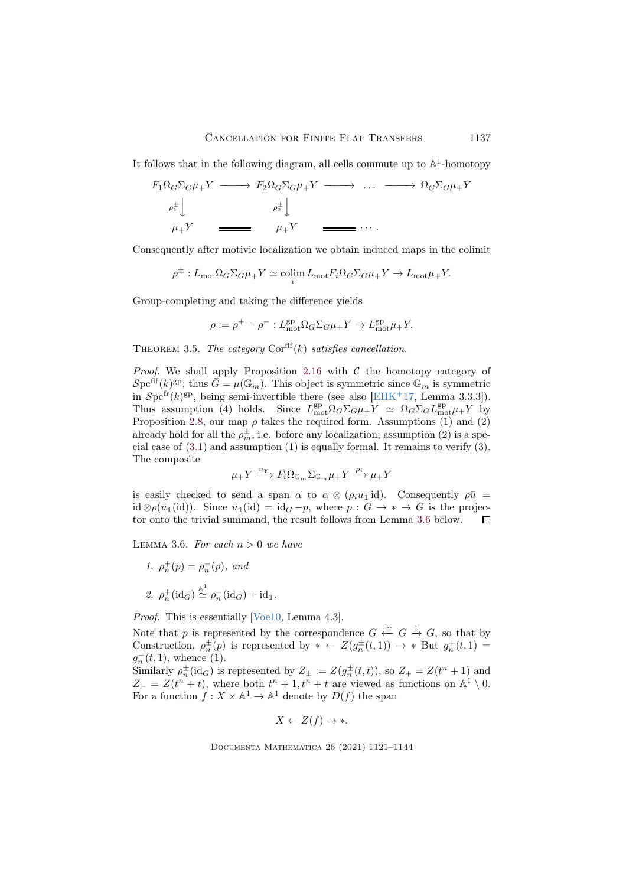It follows that in the following diagram, all cells commute up to  $\mathbb{A}^1$ -homotopy

$$
F_1 \Omega_G \Sigma_G \mu_+ Y \longrightarrow F_2 \Omega_G \Sigma_G \mu_+ Y \longrightarrow \dots \longrightarrow \Omega_G \Sigma_G \mu_+ Y
$$
  
\n
$$
\rho_1^{\pm} \downarrow \qquad \rho_2^{\pm} \downarrow \qquad \qquad \mu_+ Y \longrightarrow \dots
$$
  
\n
$$
\mu_+ Y \longrightarrow \mu_+ Y \longrightarrow \dots
$$

Consequently after motivic localization we obtain induced maps in the colimit

$$
\rho^{\pm}: L_{\text{mot}}\Omega_G\Sigma_G\mu_+Y \simeq \operatorname{colim}_{i} L_{\text{mot}}F_i\Omega_G\Sigma_G\mu_+Y \to L_{\text{mot}}\mu_+Y.
$$

Group-completing and taking the difference yields

$$
\rho := \rho^+ - \rho^-: L_{\text{mot}}^{\text{gp}} \Omega_G \Sigma_G \mu_+ Y \to L_{\text{mot}}^{\text{gp}} \mu_+ Y.
$$

<span id="page-16-1"></span>THEOREM 3.5. The category  $Cor<sup>ff</sup>(k)$  satisfies cancellation.

*Proof.* We shall apply Proposition [2.16](#page-8-0) with  $C$  the homotopy category of  $\mathcal{S}\mathrm{pc}^{\mathrm{dif}}(k)^\mathrm{gp};$  thus  $\bar{G} = \mu(\mathbb{G}_m)$ . This object is symmetric since  $\mathbb{G}_m$  is symmetric in  $\mathcal{S}$ pc<sup>fr</sup>(k)<sup>gp</sup>, being semi-invertible there (see also [\[EHK](#page-21-2)<sup>+</sup>17, Lemma 3.3.3]). Thus assumption (4) holds. Since  $L_{\text{mot}}^{\text{gp}} \Omega_G \Sigma_G \mu_+ Y \simeq \Omega_G \Sigma_G L_{\text{mot}}^{\text{gp}} \mu_+ Y$  by Proposition [2.8,](#page-5-2) our map  $\rho$  takes the required form. Assumptions (1) and (2) already hold for all the  $\rho_m^{\pm}$ , i.e. before any localization; assumption (2) is a special case of [\(3.1\)](#page-15-0) and assumption (1) is equally formal. It remains to verify (3). The composite

$$
\mu_+ Y \xrightarrow{u_Y} F_i \Omega_{\mathbb{G}_m} \Sigma_{\mathbb{G}_m} \mu_+ Y \xrightarrow{\rho_i} \mu_+ Y
$$

is easily checked to send a span  $\alpha$  to  $\alpha \otimes (\rho_i u_1 \mathrm{id})$ . Consequently  $\rho \bar{u}$  = id  $\otimes \rho(\bar{u}_1(\text{id}))$ . Since  $\bar{u}_1(\text{id}) = \text{id}_G - p$ , where  $p : G \to * \to G$  is the projector onto the trivial summand, the result follows from Lemma [3.6](#page-16-0) below.  $\Box$ 

<span id="page-16-0"></span>LEMMA 3.6. For each  $n > 0$  we have

1. 
$$
\rho_n^+(p) = \rho_n^-(p)
$$
, and  
\n2.  $\rho_n^+(\text{id}_G) \stackrel{\mathbb{A}^1}{\simeq} \rho_n^-(\text{id}_G) + \text{id}_1$ .

 $+$  +  $+$ 

Proof. This is essentially [\[Voe10,](#page-23-1) Lemma 4.3].

Note that p is represented by the correspondence  $G \stackrel{\simeq}{\leftarrow} G \stackrel{1}{\rightarrow} G$ , so that by Construction,  $\rho_n^{\pm}(p)$  is represented by  $* \leftarrow Z(g_n^{\pm}(t,1)) \rightarrow *$  But  $g_n^+(t,1)$  $g_n^-(t, 1)$ , whence (1).

Similarly  $\rho_n^{\pm}(\text{id}_G)$  is represented by  $Z_{\pm} := Z(g_n^{\pm}(t,t))$ , so  $Z_{+} = Z(t^n + 1)$  and  $Z_{-} = Z(t^{n} + t)$ , where both  $t^{n} + 1, t^{n} + t$  are viewed as functions on  $\mathbb{A}^{1} \setminus 0$ . For a function  $f: X \times \mathbb{A}^1 \to \mathbb{A}^1$  denote by  $D(f)$  the span

$$
X \leftarrow Z(f) \rightarrow \ast.
$$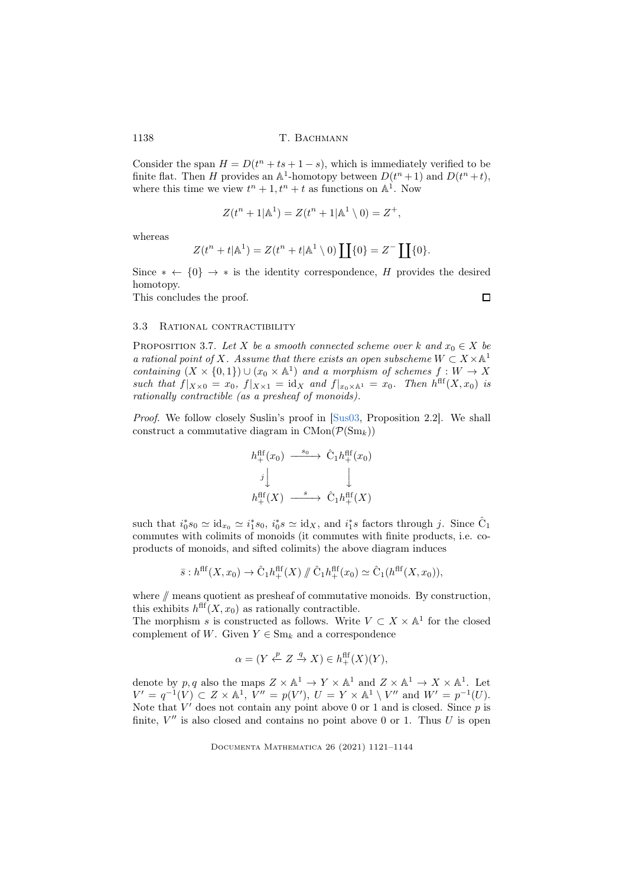Consider the span  $H = D(t^n + ts + 1 - s)$ , which is immediately verified to be finite flat. Then H provides an  $\mathbb{A}^1$ -homotopy between  $D(t^n + 1)$  and  $D(t^n + t)$ , where this time we view  $t^n + 1$ ,  $t^n + t$  as functions on  $\mathbb{A}^1$ . Now

$$
Z(t^{n} + 1|\mathbb{A}^{1}) = Z(t^{n} + 1|\mathbb{A}^{1} \setminus 0) = Z^{+},
$$

whereas

$$
Z(t^n+t|\mathbb{A}^1) = Z(t^n+t|\mathbb{A}^1 \setminus 0) \coprod \{0\} = Z^- \coprod \{0\}.
$$

Since  $* \leftarrow \{0\} \rightarrow *$  is the identity correspondence, H provides the desired homotopy.

This concludes the proof.

 $\Box$ 

## 3.3 Rational contractibility

<span id="page-17-0"></span>PROPOSITION 3.7. Let X be a smooth connected scheme over k and  $x_0 \in X$  be a rational point of X. Assume that there exists an open subscheme  $W \subset X \times \mathbb{A}^1$ containing  $(X \times \{0,1\}) \cup (x_0 \times \mathbb{A}^1)$  and a morphism of schemes  $f: W \to X$ such that  $f|_{X\times 0} = x_0$ ,  $f|_{X\times 1} = id_X$  and  $f|_{x_0\times \mathbb{A}^1} = x_0$ . Then  $h^{\text{ff}}(X,x_0)$  is rationally contractible (as a presheaf of monoids).

Proof. We follow closely Suslin's proof in [\[Sus03,](#page-23-2) Proposition 2.2]. We shall construct a commutative diagram in  $CMon(\mathcal{P}(Sm_k))$ 

$$
h_+^{\text{aff}}(x_0) \xrightarrow{s_0} \hat{C}_1 h_+^{\text{aff}}(x_0)
$$
  

$$
j \downarrow \qquad \qquad \downarrow
$$
  

$$
h_+^{\text{aff}}(X) \xrightarrow{s} \hat{C}_1 h_+^{\text{aff}}(X)
$$

such that  $i_0^* s_0 \simeq id_{x_0} \simeq i_1^* s_0$ ,  $i_0^* s \simeq id_X$ , and  $i_1^* s$  factors through j. Since  $\hat{C}_1$ commutes with colimits of monoids (it commutes with finite products, i.e. coproducts of monoids, and sifted colimits) the above diagram induces

$$
\bar{s}: h^{\mathrm{flf}}(X, x_0) \to \hat{C}_1 h_+^{\mathrm{flf}}(X) / \hat{C}_1 h_+^{\mathrm{flf}}(x_0) \simeq \hat{C}_1(h^{\mathrm{flf}}(X, x_0)),
$$

where  $\#$  means quotient as presheaf of commutative monoids. By construction, this exhibits  $h^{\text{ff}}(X, x_0)$  as rationally contractible.

The morphism s is constructed as follows. Write  $V \subset X \times \mathbb{A}^1$  for the closed complement of W. Given  $Y \in \text{Sm}_k$  and a correspondence

$$
\alpha = (Y \xleftarrow{p} Z \xrightarrow{q} X) \in h^{\text{aff}}_{+}(X)(Y),
$$

denote by p, q also the maps  $Z \times \mathbb{A}^1 \to Y \times \mathbb{A}^1$  and  $Z \times \mathbb{A}^1 \to X \times \mathbb{A}^1$ . Let  $V' = q^{-1}(V) \subset Z \times \mathbb{A}^1$ ,  $V'' = p(V')$ ,  $U = Y \times \mathbb{A}^1 \setminus V''$  and  $W' = p^{-1}(U)$ . Note that  $V'$  does not contain any point above 0 or 1 and is closed. Since  $p$  is finite,  $V''$  is also closed and contains no point above 0 or 1. Thus  $U$  is open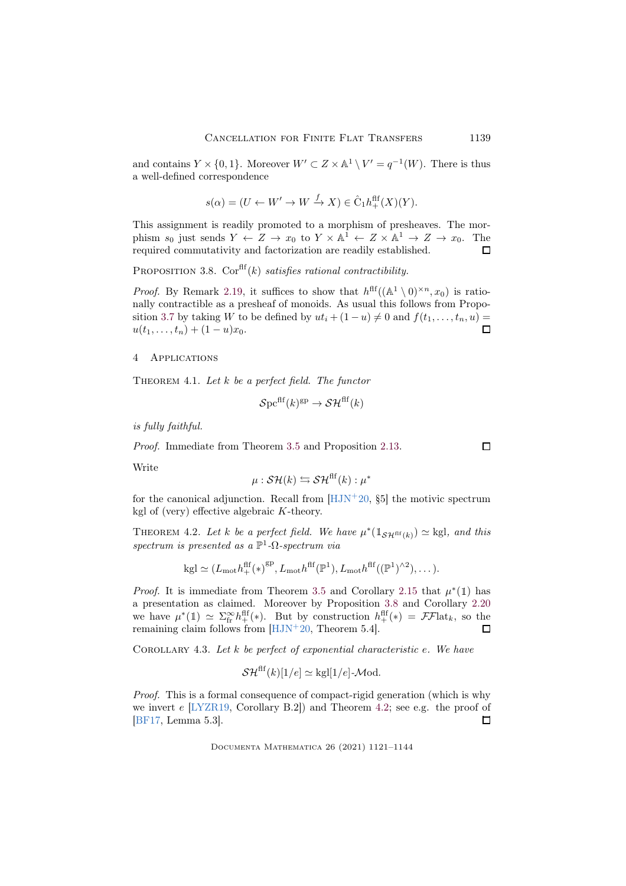and contains  $Y \times \{0,1\}$ . Moreover  $W' \subset Z \times \mathbb{A}^1 \setminus V' = q^{-1}(W)$ . There is thus a well-defined correspondence

$$
s(\alpha) = (U \leftarrow W' \rightarrow W \xrightarrow{f} X) \in \hat{C}_1 h_+^{\text{aff}}(X)(Y).
$$

This assignment is readily promoted to a morphism of presheaves. The morphism  $s_0$  just sends  $Y \leftarrow Z \rightarrow x_0$  to  $Y \times \mathbb{A}^1 \leftarrow Z \times \mathbb{A}^1 \rightarrow Z \rightarrow x_0$ . The required commutativity and factorization are readily established.  $\Box$ 

<span id="page-18-3"></span>PROPOSITION 3.8.  $Cor<sup>ff</sup>(k)$  satisfies rational contractibility.

*Proof.* By Remark [2.19,](#page-11-2) it suffices to show that  $h^{\text{ff}}((\mathbb{A}^1 \setminus 0)^{\times n}, x_0)$  is rationally contractible as a presheaf of monoids. As usual this follows from Propo-sition [3.7](#page-17-0) by taking W to be defined by  $ut_i + (1 - u) \neq 0$  and  $f(t_1, \ldots, t_n, u) = u(t_1, \ldots, t_1) + (1 - u)x_0$  $u(t_1, \ldots, t_n) + (1-u)x_0.$ 

### <span id="page-18-2"></span>4 Applications

<span id="page-18-0"></span>THEOREM 4.1. Let  $k$  be a perfect field. The functor

$$
\mathcal{S}\mathrm{pc}^{\mathrm{ff}}(k)^{\mathrm{gp}} \to \mathcal{SH}^{\mathrm{ff}}(k)
$$

is fully faithful.

Proof. Immediate from Theorem [3.5](#page-16-1) and Proposition [2.13.](#page-6-3)

Write

$$
\mu: \mathcal{SH}(k) \leftrightarrows \mathcal{SH}^{\text{ff}}(k): \mu^*
$$

for the canonical adjunction. Recall from  $[HJN+20, §5]$  the motivic spectrum kgl of (very) effective algebraic  $K$ -theory.

<span id="page-18-1"></span>THEOREM 4.2. Let k be a perfect field. We have  $\mu^*(1_{\mathcal{SH}^{\text{ff}}(k)}) \simeq$  kgl, and this spectrum is presented as a  $\mathbb{P}^1$ - $\Omega$ -spectrum via

$$
kgl\simeq (L_{mot}h^{ff}_{+}(\ast)^{gp},L_{mot}h^{ff}(\mathbb{P}^{1}),L_{mot}h^{ff}((\mathbb{P}^{1})^{\wedge 2}),\dots).
$$

*Proof.* It is immediate from Theorem [3.5](#page-16-1) and Corollary [2.15](#page-7-1) that  $\mu^*(1)$  has a presentation as claimed. Moreover by Proposition [3.8](#page-18-3) and Corollary [2.20](#page-11-3) we have  $\mu^*(1) \simeq \sum_{\text{fr}}^{\infty} h_+^{\text{fff}}(*)$ . But by construction  $h_+^{\text{fff}}(*) = \mathcal{FF}$ lat<sub>k</sub>, so the remaining claim follows from [\[HJN](#page-22-1)<sup>+</sup>20, Theorem 5.4].

COROLLARY 4.3. Let  $k$  be perfect of exponential characteristic  $e$ . We have

$$
\mathcal{SH}^{\text{ff}}(k)[1/e] \simeq \text{kgI}[1/e] \text{-}\mathcal{M}\text{od}.
$$

Proof. This is a formal consequence of compact-rigid generation (which is why we invert e [\[LYZR19,](#page-22-11) Corollary B.2]) and Theorem [4.2;](#page-18-1) see e.g. the proof of [\[BF17,](#page-21-0) Lemma 5.3].  $\Box$ 

Documenta Mathematica 26 (2021) 1121–1144

 $\Box$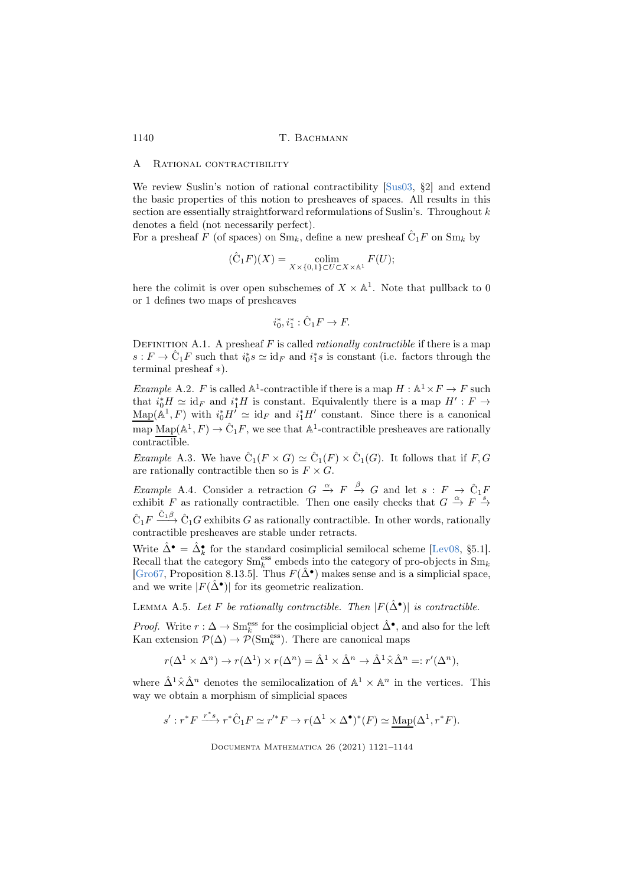#### A RATIONAL CONTRACTIBILITY

We review Suslin's notion of rational contractibility [\[Sus03,](#page-23-2) §2] and extend the basic properties of this notion to presheaves of spaces. All results in this section are essentially straightforward reformulations of Suslin's. Throughout  $k$ denotes a field (not necessarily perfect).

For a presheaf  $F$  (of spaces) on  $Sm_k$ , define a new presheaf  $\hat{C}_1F$  on  $Sm_k$  by

$$
(\hat{C}_1 F)(X) = \underset{X \times \{0,1\} \subset U \subset X \times \mathbb{A}^1}{\text{colim}} F(U);
$$

here the colimit is over open subschemes of  $X \times \mathbb{A}^1$ . Note that pullback to 0 or 1 defines two maps of presheaves

$$
i_0^*, i_1^*: \hat{C}_1 F \to F.
$$

<span id="page-19-0"></span>DEFINITION A.1. A presheaf  $F$  is called *rationally contractible* if there is a map  $s: F \to \hat{C}_1 F$  such that  $i_0^* s \simeq id_F$  and  $i_1^* s$  is constant (i.e. factors through the terminal presheaf ∗).

<span id="page-19-4"></span>*Example* A.2. F is called  $\mathbb{A}^1$ -contractible if there is a map  $H : \mathbb{A}^1 \times F \to F$  such that  $i_0^* H \simeq id_F$  and  $i_1^* H$  is constant. Equivalently there is a map  $H' : F \to$  $\underline{\text{Map}}(\mathbb{A}^1, F)$  with  $i_0^* H^I \simeq id_F$  and  $i_1^* H'$  constant. Since there is a canonical map  $\text{Map}(\mathbb{A}^1, F) \to \hat{C}_1 F$ , we see that  $\mathbb{A}^1$ -contractible presheaves are rationally contractible.

<span id="page-19-3"></span>*Example* A.3. We have  $\hat{C}_1(F \times G) \simeq \hat{C}_1(F) \times \hat{C}_1(G)$ . It follows that if  $F, G$ are rationally contractible then so is  $F \times G$ .

<span id="page-19-2"></span>Example A.4. Consider a retraction  $G \stackrel{\alpha}{\to} F \stackrel{\beta}{\to} G$  and let  $s : F \to \hat{C}_1F$ exhibit F as rationally contractible. Then one easily checks that  $G \stackrel{\alpha}{\to} F \stackrel{s}{\to}$  $\hat{C}_1 F \xrightarrow{\hat{C}_1 \beta} \hat{C}_1 G$  exhibits G as rationally contractible. In other words, rationally contractible presheaves are stable under retracts.

Write  $\hat{\Delta}^{\bullet} = \hat{\Delta}_k^{\bullet}$  for the standard cosimplicial semilocal scheme [\[Lev08,](#page-22-12) §5.1]. Recall that the category  $\text{Sm}_{k}^{\text{ess}}$  embeds into the category of pro-objects in  $\text{Sm}_{k}$ [\[Gro67,](#page-22-13) Proposition 8.13.5]. Thus  $F(\hat{\Delta}^{\bullet})$  makes sense and is a simplicial space, and we write  $|F(\hat{\Delta}^{\bullet})|$  for its geometric realization.

<span id="page-19-5"></span>LEMMA A.5. Let F be rationally contractible. Then  $|F(\hat{\Delta}^{\bullet})|$  is contractible.

*Proof.* Write  $r : \Delta \to \text{Sm}_k^{\text{ess}}$  for the cosimplicial object  $\hat{\Delta}^{\bullet}$ , and also for the left Kan extension  $\mathcal{P}(\Delta) \to \mathcal{P}(\text{Sm}_k^{\text{ess}})$ . There are canonical maps

$$
r(\Delta^1 \times \Delta^n) \to r(\Delta^1) \times r(\Delta^n) = \hat{\Delta}^1 \times \hat{\Delta}^n \to \hat{\Delta}^1 \hat{\times} \hat{\Delta}^n =: r'(\Delta^n),
$$

where  $\hat{\Delta}^1 \hat{\times} \hat{\Delta}^n$  denotes the semilocalization of  $\mathbb{A}^1 \times \mathbb{A}^n$  in the vertices. This way we obtain a morphism of simplicial spaces

$$
s': r^*F \xrightarrow{r^*s} r^*\hat{\mathcal{C}}_1F \simeq r'^*F \to r(\Delta^1 \times \Delta^\bullet)^*(F) \simeq \underline{\mathrm{Map}}(\Delta^1, r^*F).
$$

<span id="page-19-1"></span>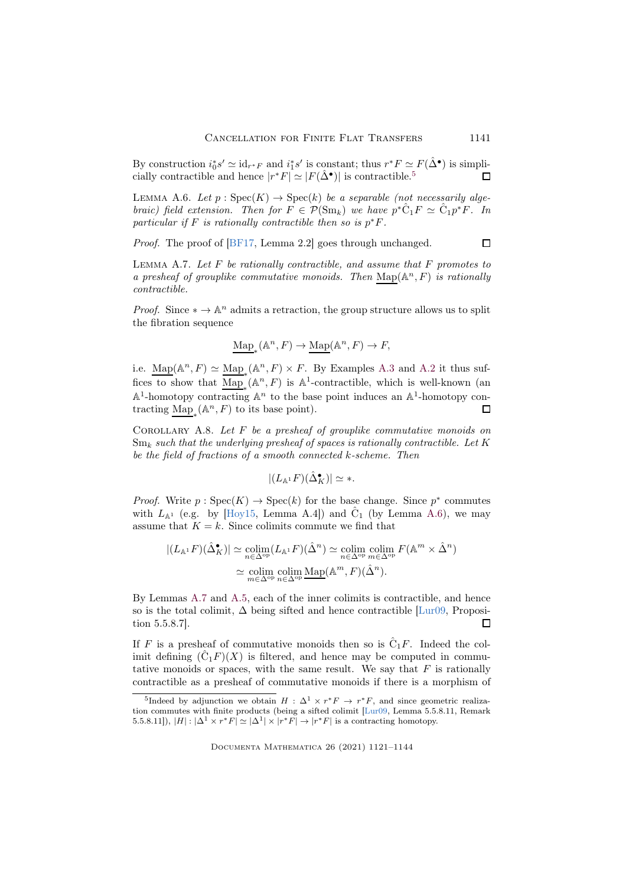By construction  $i_0^* s' \simeq id_{r^*F}$  and  $i_1^* s'$  is constant; thus  $r^* F \simeq F(\hat{\Delta}^{\bullet})$  is simplicially contractible and hence  $|r^*F| \simeq |F(\hat{\Delta}^{\bullet})|$  is contractible.<sup>[5](#page-20-1)</sup> П

<span id="page-20-2"></span>LEMMA A.6. Let  $p : \text{Spec}(K) \to \text{Spec}(k)$  be a separable (not necessarily algebraic) field extension. Then for  $F \in \mathcal{P}(\mathrm{Sm}_k)$  we have  $p^* \hat{C}_1 F \simeq \hat{C}_1 p^* F$ . In particular if F is rationally contractible then so is  $p^*F$ .

Proof. The proof of [\[BF17,](#page-21-0) Lemma 2.2] goes through unchanged.

 $\Box$ 

<span id="page-20-3"></span>LEMMA A.7. Let  $F$  be rationally contractible, and assume that  $F$  promotes to a presheaf of grouplike commutative monoids. Then  $\mathrm{Map}(\mathbb{A}^n, F)$  is rationally contractible.

*Proof.* Since  $* \to \mathbb{A}^n$  admits a retraction, the group structure allows us to split the fibration sequence

$$
\mathrm{Map}_*(\mathbb{A}^n, F) \to \underline{\mathrm{Map}}(\mathbb{A}^n, F) \to F,
$$

i.e.  $\underline{\text{Map}}(\mathbb{A}^n, F) \simeq \underline{\text{Map}}_*(\mathbb{A}^n, F) \times F$ . By Examples [A.3](#page-19-3) and [A.2](#page-19-4) it thus suffices to show that  $\underline{\text{Map}}_*(\mathbb{A}^n, F)$  is  $\mathbb{A}^1$ -contractible, which is well-known (an  $\mathbb{A}^1$ -homotopy contracting  $\mathbb{A}^n$  to the base point induces an  $\mathbb{A}^1$ -homotopy contracting  $\underline{\mathrm{Map}}_*(\mathbb{A}^n, F)$  to its base point).  $\Box$ 

<span id="page-20-0"></span>COROLLARY A.8. Let  $F$  be a presheaf of grouplike commutative monoids on  $Sm_k$  such that the underlying presheaf of spaces is rationally contractible. Let K be the field of fractions of a smooth connected k-scheme. Then

$$
|(L_{\mathbb{A}^1}F)(\hat{\Delta}_K^{\bullet})| \simeq *.
$$

*Proof.* Write  $p : \text{Spec}(K) \to \text{Spec}(k)$  for the base change. Since  $p^*$  commutes with  $L_{\mathbb{A}^1}$  (e.g. by [\[Hoy15,](#page-22-14) Lemma A.4]) and  $\hat{C}_1$  (by Lemma [A.6\)](#page-20-2), we may assume that  $K = k$ . Since colimits commute we find that

$$
|(L_{\mathbb{A}^1}F)(\hat{\Delta}_K^{\bullet})| \simeq \underset{n \in \Delta^{\mathrm{op}}}{\mathrm{colim}} (L_{\mathbb{A}^1}F)(\hat{\Delta}^n) \simeq \underset{n \in \Delta^{\mathrm{op}}}{\mathrm{colim}} \underset{n \in \Delta^{\mathrm{op}}}{\mathrm{colim}} F(\mathbb{A}^m \times \hat{\Delta}^n)
$$

$$
\simeq \underset{n \in \Delta^{\mathrm{op}}}{\mathrm{colim}} \underset{n \in \Delta^{\mathrm{op}}}{\mathrm{colim}} \underset{n \in \Delta^{\mathrm{op}}}{\mathrm{Map}}(\mathbb{A}^m, F)(\hat{\Delta}^n).
$$

By Lemmas [A.7](#page-20-3) and [A.5,](#page-19-5) each of the inner colimits is contractible, and hence so is the total colimit,  $\Delta$  being sifted and hence contractible [\[Lur09,](#page-22-2) Proposition 5.5.8.7].  $\Box$ 

If F is a presheaf of commutative monoids then so is  $\hat{C}_1F$ . Indeed the colimit defining  $(\hat{C}_1 F)(X)$  is filtered, and hence may be computed in commutative monoids or spaces, with the same result. We say that  $F$  is rationally contractible as a presheaf of commutative monoids if there is a morphism of

<span id="page-20-1"></span><sup>&</sup>lt;sup>5</sup>Indeed by adjunction we obtain  $H : \Delta^1 \times r^*F \to r^*F$ , and since geometric realization commutes with finite products (being a sifted colimit [\[Lur09,](#page-22-2) Lemma 5.5.8.11, Remark 5.5.8.11]),  $|H|: |\Delta^1 \times r^*F| \simeq |\Delta^1| \times |r^*F| \rightarrow |r^*F|$  is a contracting homotopy.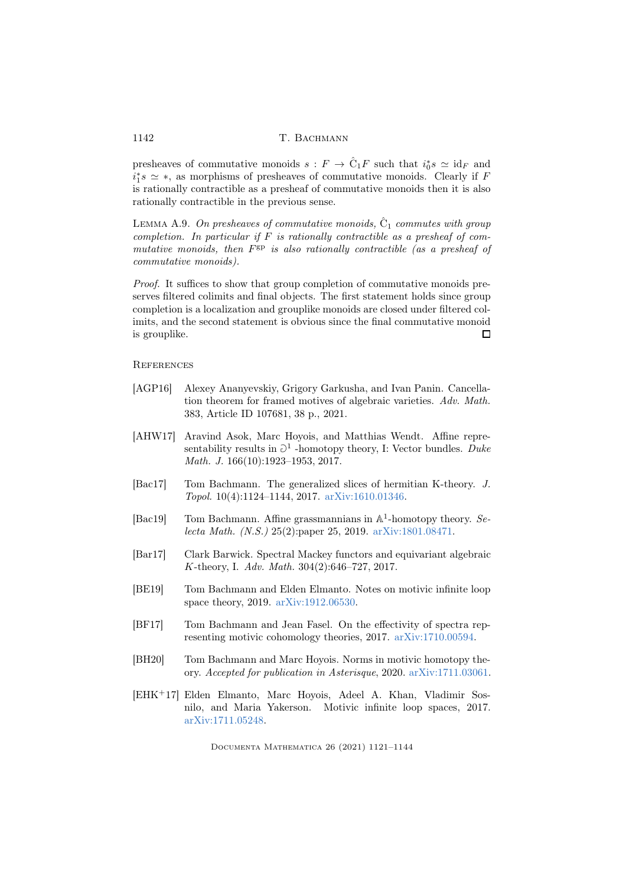presheaves of commutative monoids  $s: F \to \hat{C}_1 F$  such that  $i_0^* s \simeq id_F$  and  $i_1^*s \simeq *$ , as morphisms of presheaves of commutative monoids. Clearly if F is rationally contractible as a presheaf of commutative monoids then it is also rationally contractible in the previous sense.

<span id="page-21-6"></span>LEMMA A.9. On presheaves of commutative monoids,  $\hat{C}_1$  commutes with group completion. In particular if  $F$  is rationally contractible as a presheaf of commutative monoids, then  $F^{\text{gp}}$  is also rationally contractible (as a presheaf of commutative monoids).

Proof. It suffices to show that group completion of commutative monoids preserves filtered colimits and final objects. The first statement holds since group completion is a localization and grouplike monoids are closed under filtered colimits, and the second statement is obvious since the final commutative monoid is grouplike.  $\Box$ 

### **REFERENCES**

- <span id="page-21-1"></span>[AGP16] Alexey Ananyevskiy, Grigory Garkusha, and Ivan Panin. Cancellation theorem for framed motives of algebraic varieties. Adv. Math. 383, Article ID 107681, 38 p., 2021.
- <span id="page-21-8"></span>[AHW17] Aravind Asok, Marc Hoyois, and Matthias Wendt. Affine representability results in  $\partial^1$  -homotopy theory, I: Vector bundles. Duke Math. J. 166(10):1923–1953, 2017.
- <span id="page-21-5"></span>[Bac17] Tom Bachmann. The generalized slices of hermitian K-theory. J. Topol. 10(4):1124–1144, 2017. [arXiv:1610.01346.](https://arxiv.org/abs/1610.01346)
- <span id="page-21-4"></span>[Bac19] Tom Bachmann. Affine grassmannians in  $\mathbb{A}^1$ -homotopy theory. Selecta Math. (N.S.) 25(2):paper 25, 2019. [arXiv:1801.08471.](https://arxiv.org/abs/1801.08471)
- <span id="page-21-7"></span>[Bar17] Clark Barwick. Spectral Mackey functors and equivariant algebraic K-theory, I. Adv. Math. 304(2):646–727, 2017.
- <span id="page-21-9"></span>[BE19] Tom Bachmann and Elden Elmanto. Notes on motivic infinite loop space theory, 2019. [arXiv:1912.06530.](https://arxiv.org/abs/1912.06530)
- <span id="page-21-0"></span>[BF17] Tom Bachmann and Jean Fasel. On the effectivity of spectra representing motivic cohomology theories, 2017. [arXiv:1710.00594.](https://arxiv.org/abs/1710.00594)
- <span id="page-21-3"></span>[BH20] Tom Bachmann and Marc Hoyois. Norms in motivic homotopy theory. Accepted for publication in Asterisque, 2020. [arXiv:1711.03061.](https://arxiv.org/abs/1711.03061)
- <span id="page-21-2"></span>[EHK<sup>+</sup>17] Elden Elmanto, Marc Hoyois, Adeel A. Khan, Vladimir Sosnilo, and Maria Yakerson. Motivic infinite loop spaces, 2017. [arXiv:1711.05248.](https://arxiv.org/abs/1711.05248)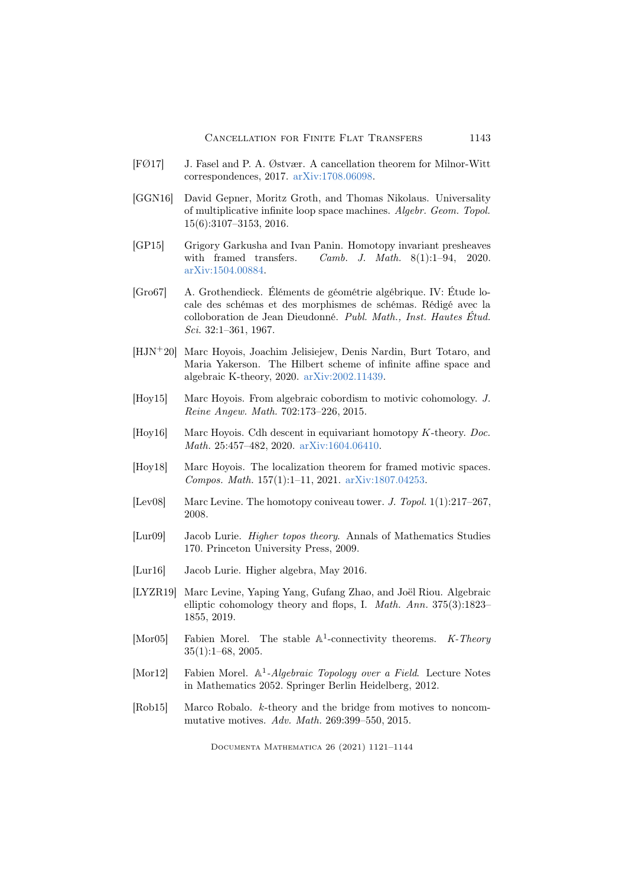- <span id="page-22-0"></span>[FØ17] J. Fasel and P. A. Østvær. A cancellation theorem for Milnor-Witt correspondences, 2017. [arXiv:1708.06098.](https://arxiv.org/abs/1708.06098)
- <span id="page-22-4"></span>[GGN16] David Gepner, Moritz Groth, and Thomas Nikolaus. Universality of multiplicative infinite loop space machines. Algebr. Geom. Topol. 15(6):3107–3153, 2016.
- <span id="page-22-9"></span>[GP15] Grigory Garkusha and Ivan Panin. Homotopy invariant presheaves with framed transfers. Camb. J. Math. 8(1):1-94, 2020. [arXiv:1504.00884.](https://arxiv.org/abs/1504.00884)
- <span id="page-22-13"></span>[Gro67] A. Grothendieck. Éléments de géométrie algébrique. IV: Étude locale des schémas et des morphismes de schémas. Rédigé avec la colloboration de Jean Dieudonné. Publ. Math., Inst. Hautes Étud. Sci. 32:1–361, 1967.
- <span id="page-22-1"></span>[HJN<sup>+</sup>20] Marc Hoyois, Joachim Jelisiejew, Denis Nardin, Burt Totaro, and Maria Yakerson. The Hilbert scheme of infinite affine space and algebraic K-theory, 2020. [arXiv:2002.11439.](https://arxiv.org/abs/2002.11439)
- <span id="page-22-14"></span>[Hoy15] Marc Hoyois. From algebraic cobordism to motivic cohomology. J. Reine Angew. Math. 702:173–226, 2015.
- <span id="page-22-10"></span>[Hoy16] Marc Hoyois. Cdh descent in equivariant homotopy K-theory. Doc. Math. 25:457–482, 2020. [arXiv:1604.06410.](https://arxiv.org/abs/1604.06410)
- <span id="page-22-6"></span>[Hoy18] Marc Hoyois. The localization theorem for framed motivic spaces. Compos. Math. 157(1):1–11, 2021. [arXiv:1807.04253.](https://arxiv.org/abs/1807.04253)
- <span id="page-22-12"></span>[Lev08] Marc Levine. The homotopy coniveau tower. J. Topol. 1(1):217–267, 2008.
- <span id="page-22-2"></span>[Lur09] Jacob Lurie. Higher topos theory. Annals of Mathematics Studies 170. Princeton University Press, 2009.
- <span id="page-22-3"></span>[Lur16] Jacob Lurie. Higher algebra, May 2016.
- <span id="page-22-11"></span>[LYZR19] Marc Levine, Yaping Yang, Gufang Zhao, and Joël Riou. Algebraic elliptic cohomology theory and flops, I. Math. Ann. 375(3):1823– 1855, 2019.
- <span id="page-22-8"></span>[Mor05] Fabien Morel. The stable  $\mathbb{A}^1$ -connectivity theorems. K-Theory 35(1):1–68, 2005.
- <span id="page-22-7"></span>[Mor12] Fabien Morel. A<sup>1</sup>-Algebraic Topology over a Field. Lecture Notes in Mathematics 2052. Springer Berlin Heidelberg, 2012.
- <span id="page-22-5"></span>[Rob15] Marco Robalo. k-theory and the bridge from motives to noncommutative motives. Adv. Math. 269:399–550, 2015.